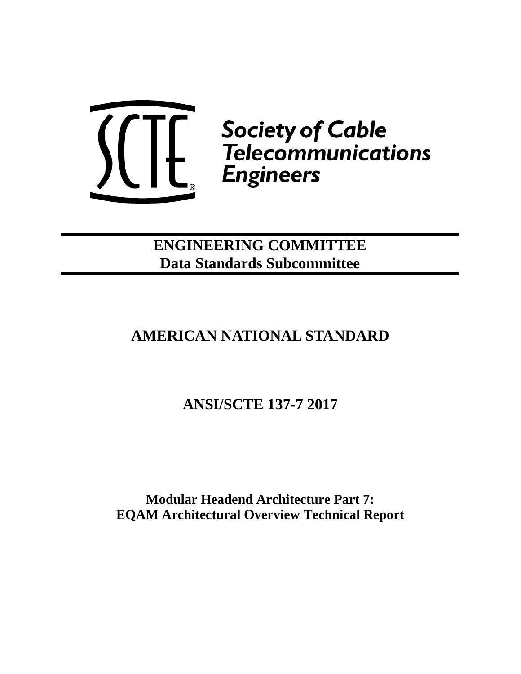

**ENGINEERING COMMITTEE Data Standards Subcommittee**

# **AMERICAN NATIONAL STANDARD**

**ANSI/SCTE 137-7 2017**

**Modular Headend Architecture Part 7: EQAM Architectural Overview Technical Report**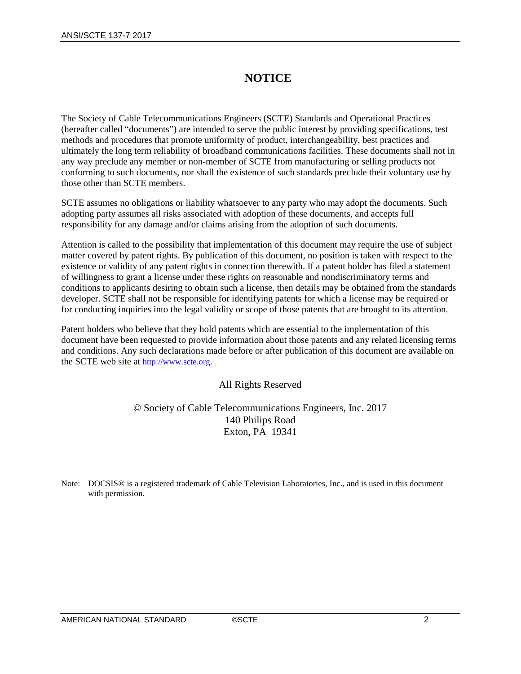## **NOTICE**

The Society of Cable Telecommunications Engineers (SCTE) Standards and Operational Practices (hereafter called "documents") are intended to serve the public interest by providing specifications, test methods and procedures that promote uniformity of product, interchangeability, best practices and ultimately the long term reliability of broadband communications facilities. These documents shall not in any way preclude any member or non-member of SCTE from manufacturing or selling products not conforming to such documents, nor shall the existence of such standards preclude their voluntary use by those other than SCTE members.

SCTE assumes no obligations or liability whatsoever to any party who may adopt the documents. Such adopting party assumes all risks associated with adoption of these documents, and accepts full responsibility for any damage and/or claims arising from the adoption of such documents.

Attention is called to the possibility that implementation of this document may require the use of subject matter covered by patent rights. By publication of this document, no position is taken with respect to the existence or validity of any patent rights in connection therewith. If a patent holder has filed a statement of willingness to grant a license under these rights on reasonable and nondiscriminatory terms and conditions to applicants desiring to obtain such a license, then details may be obtained from the standards developer. SCTE shall not be responsible for identifying patents for which a license may be required or for conducting inquiries into the legal validity or scope of those patents that are brought to its attention.

Patent holders who believe that they hold patents which are essential to the implementation of this document have been requested to provide information about those patents and any related licensing terms and conditions. Any such declarations made before or after publication of this document are available on the SCTE web site at [http://www.scte.org.](http://www.scte.org/)

### All Rights Reserved

© Society of Cable Telecommunications Engineers, Inc. 2017 140 Philips Road Exton, PA 19341

Note: DOCSIS<sup>®</sup> is a registered trademark of Cable Television Laboratories, Inc., and is used in this document with permission.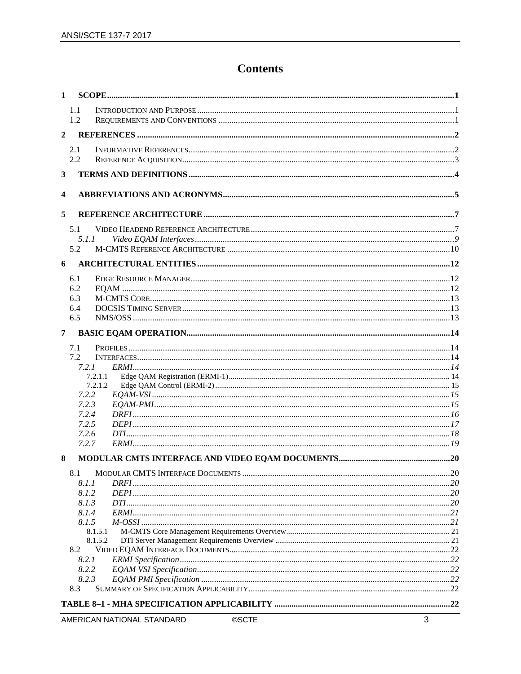## **Contents**

| $\mathbf{1}$   |                    |  |
|----------------|--------------------|--|
|                | 1.1<br>1.2         |  |
| $\overline{2}$ |                    |  |
|                | 2.1<br>2.2         |  |
| 3              |                    |  |
| 4              |                    |  |
| 5              |                    |  |
|                | 5.1                |  |
|                | 5.1.1              |  |
|                | 5.2                |  |
| 6              |                    |  |
|                | 6.1                |  |
|                | 6.2                |  |
|                | 6.3                |  |
|                | 6.4<br>6.5         |  |
| $7^{\circ}$    |                    |  |
|                | 7.1                |  |
|                | 7.2                |  |
|                | 7.2.1              |  |
|                | 7.2.1.1<br>7.2.1.2 |  |
|                | 7.2.2              |  |
|                | 7.2.3              |  |
|                | 7.2.4              |  |
|                | 7.2.5              |  |
|                | 7.2.6<br>7.2.7     |  |
| 8              |                    |  |
|                |                    |  |
|                | 8.1.1              |  |
|                | 8.1.2              |  |
|                | 8.1.3<br>8.1.4     |  |
|                | 8.1.5              |  |
|                | 8.1.5.1            |  |
|                | 8.1.5.2            |  |
|                | 8.2<br>8.2.1       |  |
|                | 8.2.2              |  |
|                | 8.2.3              |  |
|                | 8.3                |  |
|                |                    |  |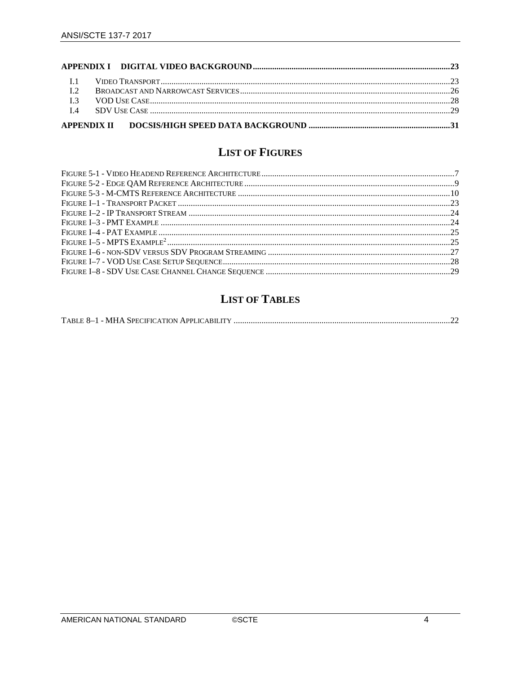| $\overline{12}$ |  |  |
|-----------------|--|--|
|                 |  |  |
|                 |  |  |
|                 |  |  |

## **LIST OF FIGURES**

## **LIST OF TABLES**

|--|--|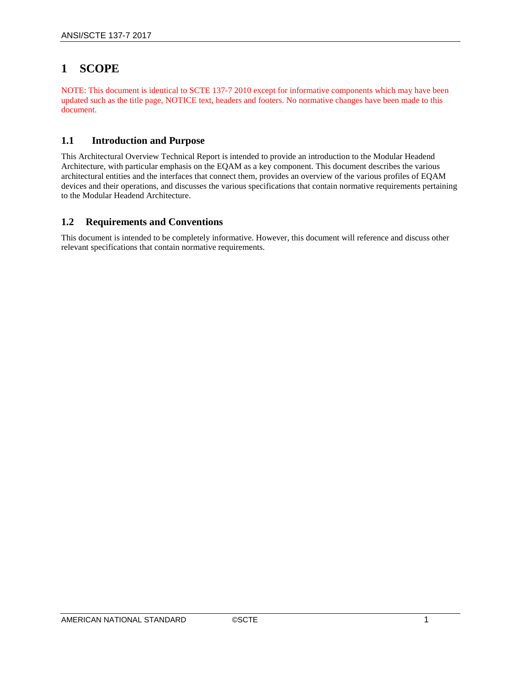## <span id="page-4-0"></span>**1 SCOPE**

NOTE: This document is identical to SCTE 137-7 2010 except for informative components which may have been updated such as the title page, NOTICE text, headers and footers. No normative changes have been made to this document.

### <span id="page-4-1"></span>**1.1 Introduction and Purpose**

This Architectural Overview Technical Report is intended to provide an introduction to the Modular Headend Architecture, with particular emphasis on the EQAM as a key component. This document describes the various architectural entities and the interfaces that connect them, provides an overview of the various profiles of EQAM devices and their operations, and discusses the various specifications that contain normative requirements pertaining to the Modular Headend Architecture.

### <span id="page-4-2"></span>**1.2 Requirements and Conventions**

This document is intended to be completely informative. However, this document will reference and discuss other relevant specifications that contain normative requirements.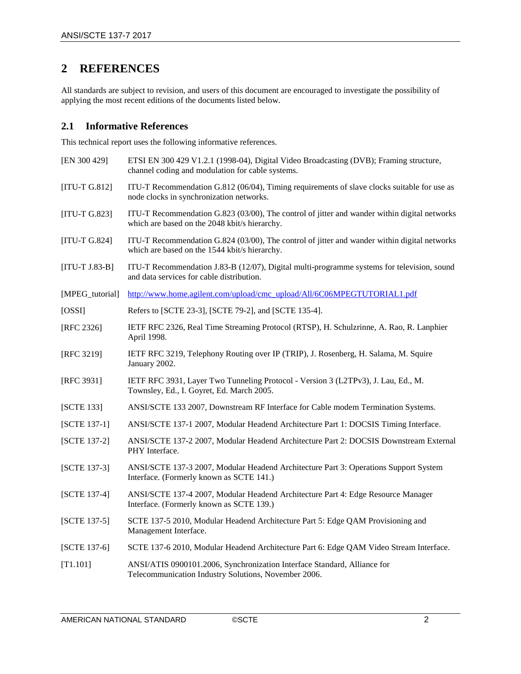## <span id="page-5-0"></span>**2 REFERENCES**

All standards are subject to revision, and users of this document are encouraged to investigate the possibility of applying the most recent editions of the documents listed below.

### <span id="page-5-1"></span>**2.1 Informative References**

This technical report uses the following informative references.

<span id="page-5-17"></span><span id="page-5-16"></span><span id="page-5-15"></span><span id="page-5-14"></span><span id="page-5-13"></span><span id="page-5-12"></span><span id="page-5-11"></span><span id="page-5-10"></span><span id="page-5-9"></span><span id="page-5-8"></span><span id="page-5-7"></span><span id="page-5-6"></span><span id="page-5-5"></span><span id="page-5-4"></span><span id="page-5-3"></span><span id="page-5-2"></span>

| [EN 300 429]      | ETSI EN 300 429 V1.2.1 (1998-04), Digital Video Broadcasting (DVB); Framing structure,<br>channel coding and modulation for cable systems.    |
|-------------------|-----------------------------------------------------------------------------------------------------------------------------------------------|
| [ $ITU-T G.812$ ] | ITU-T Recommendation G.812 (06/04), Timing requirements of slave clocks suitable for use as<br>node clocks in synchronization networks.       |
| $[ITU-T G.823]$   | ITU-T Recommendation G.823 (03/00), The control of jitter and wander within digital networks<br>which are based on the 2048 kbit/s hierarchy. |
| $[ITU-T G.824]$   | ITU-T Recommendation G.824 (03/00), The control of jitter and wander within digital networks<br>which are based on the 1544 kbit/s hierarchy. |
| $[ITU-T J.83-B]$  | ITU-T Recommendation J.83-B (12/07), Digital multi-programme systems for television, sound<br>and data services for cable distribution.       |
| [MPEG_tutorial]   | http://www.home.agilent.com/upload/cmc_upload/All/6C06MPEGTUTORIAL1.pdf                                                                       |
| [OSSI]            | Refers to [SCTE 23-3], [SCTE 79-2], and [SCTE 135-4].                                                                                         |
| [RFC 2326]        | IETF RFC 2326, Real Time Streaming Protocol (RTSP), H. Schulzrinne, A. Rao, R. Lanphier<br>April 1998.                                        |
| [RFC 3219]        | IETF RFC 3219, Telephony Routing over IP (TRIP), J. Rosenberg, H. Salama, M. Squire<br>January 2002.                                          |
| [RFC 3931]        | IETF RFC 3931, Layer Two Tunneling Protocol - Version 3 (L2TPv3), J. Lau, Ed., M.<br>Townsley, Ed., I. Goyret, Ed. March 2005.                |
| [SCTE 133]        | ANSI/SCTE 133 2007, Downstream RF Interface for Cable modem Termination Systems.                                                              |
| [SCTE 137-1]      | ANSI/SCTE 137-1 2007, Modular Headend Architecture Part 1: DOCSIS Timing Interface.                                                           |
| [SCTE 137-2]      | ANSI/SCTE 137-2 2007, Modular Headend Architecture Part 2: DOCSIS Downstream External<br>PHY Interface.                                       |
| [SCTE 137-3]      | ANSI/SCTE 137-3 2007, Modular Headend Architecture Part 3: Operations Support System<br>Interface. (Formerly known as SCTE 141.)              |
| [SCTE 137-4]      | ANSI/SCTE 137-4 2007, Modular Headend Architecture Part 4: Edge Resource Manager<br>Interface. (Formerly known as SCTE 139.)                  |
| [SCTE 137-5]      | SCTE 137-5 2010, Modular Headend Architecture Part 5: Edge QAM Provisioning and<br>Management Interface.                                      |
| [SCTE 137-6]      | SCTE 137-6 2010, Modular Headend Architecture Part 6: Edge QAM Video Stream Interface.                                                        |
| [T1.101]          | ANSI/ATIS 0900101.2006, Synchronization Interface Standard, Alliance for<br>Telecommunication Industry Solutions, November 2006.              |
|                   |                                                                                                                                               |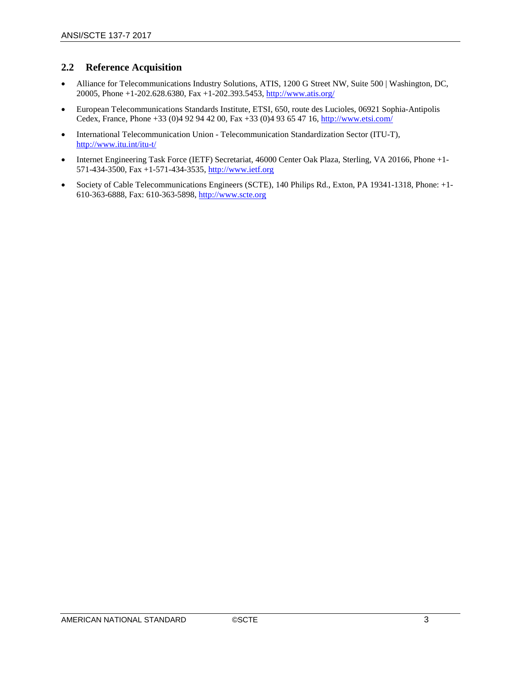### <span id="page-6-0"></span>**2.2 Reference Acquisition**

- Alliance for Telecommunications Industry Solutions, ATIS, 1200 G Street NW, Suite 500 | Washington, DC, 20005, Phone +1-202.628.6380, Fax +1-202.393.5453,<http://www.atis.org/>
- European Telecommunications Standards Institute, ETSI, 650, route des Lucioles, 06921 Sophia-Antipolis Cedex, France, Phone +33 (0)4 92 94 42 00, Fax +33 (0)4 93 65 47 16,<http://www.etsi.com/>
- International Telecommunication Union Telecommunication Standardization Sector (ITU-T), <http://www.itu.int/itu-t/>
- Internet Engineering Task Force (IETF) Secretariat, 46000 Center Oak Plaza, Sterling, VA 20166, Phone +1-571-434-3500, Fax +1-571-434-3535, [http://www.ietf.org](http://www.ietf.org/)
- Society of Cable Telecommunications Engineers (SCTE), 140 Philips Rd., Exton, PA 19341-1318, Phone: +1-610-363-6888, Fax: 610-363-5898[, http://www.scte.org](http://www.scte.org/)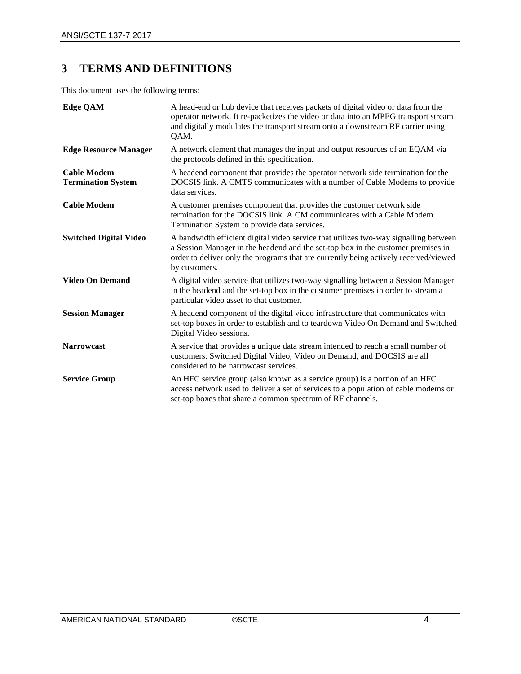## <span id="page-7-0"></span>**3 TERMS AND DEFINITIONS**

This document uses the following terms:

| <b>Edge QAM</b>                                 | A head-end or hub device that receives packets of digital video or data from the<br>operator network. It re-packetizes the video or data into an MPEG transport stream<br>and digitally modulates the transport stream onto a downstream RF carrier using<br>QAM.                 |
|-------------------------------------------------|-----------------------------------------------------------------------------------------------------------------------------------------------------------------------------------------------------------------------------------------------------------------------------------|
| <b>Edge Resource Manager</b>                    | A network element that manages the input and output resources of an EQAM via<br>the protocols defined in this specification.                                                                                                                                                      |
| <b>Cable Modem</b><br><b>Termination System</b> | A headend component that provides the operator network side termination for the<br>DOCSIS link. A CMTS communicates with a number of Cable Modems to provide<br>data services.                                                                                                    |
| <b>Cable Modem</b>                              | A customer premises component that provides the customer network side<br>termination for the DOCSIS link. A CM communicates with a Cable Modem<br>Termination System to provide data services.                                                                                    |
| <b>Switched Digital Video</b>                   | A bandwidth efficient digital video service that utilizes two-way signalling between<br>a Session Manager in the headend and the set-top box in the customer premises in<br>order to deliver only the programs that are currently being actively received/viewed<br>by customers. |
| <b>Video On Demand</b>                          | A digital video service that utilizes two-way signalling between a Session Manager<br>in the headend and the set-top box in the customer premises in order to stream a<br>particular video asset to that customer.                                                                |
| <b>Session Manager</b>                          | A headend component of the digital video infrastructure that communicates with<br>set-top boxes in order to establish and to teardown Video On Demand and Switched<br>Digital Video sessions.                                                                                     |
| <b>Narrowcast</b>                               | A service that provides a unique data stream intended to reach a small number of<br>customers. Switched Digital Video, Video on Demand, and DOCSIS are all<br>considered to be narrowcast services.                                                                               |
| <b>Service Group</b>                            | An HFC service group (also known as a service group) is a portion of an HFC<br>access network used to deliver a set of services to a population of cable modems or<br>set-top boxes that share a common spectrum of RF channels.                                                  |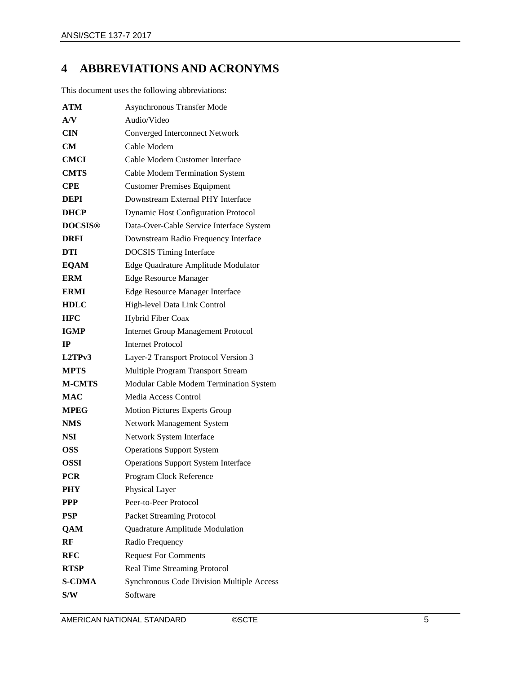## <span id="page-8-0"></span>**4 ABBREVIATIONS AND ACRONYMS**

This document uses the following abbreviations:

| <b>ATM</b>     | <b>Asynchronous Transfer Mode</b>          |
|----------------|--------------------------------------------|
| AV             | Audio/Video                                |
| <b>CIN</b>     | <b>Converged Interconnect Network</b>      |
| CМ             | Cable Modem                                |
| <b>CMCI</b>    | Cable Modem Customer Interface             |
| <b>CMTS</b>    | Cable Modem Termination System             |
| <b>CPE</b>     | <b>Customer Premises Equipment</b>         |
| DEPI           | Downstream External PHY Interface          |
| <b>DHCP</b>    | <b>Dynamic Host Configuration Protocol</b> |
| <b>DOCSIS®</b> | Data-Over-Cable Service Interface System   |
| DRFI           | Downstream Radio Frequency Interface       |
| DTI            | <b>DOCSIS</b> Timing Interface             |
| <b>EQAM</b>    | Edge Quadrature Amplitude Modulator        |
| <b>ERM</b>     | <b>Edge Resource Manager</b>               |
| <b>ERMI</b>    | Edge Resource Manager Interface            |
| <b>HDLC</b>    | High-level Data Link Control               |
| <b>HFC</b>     | Hybrid Fiber Coax                          |
| <b>IGMP</b>    | <b>Internet Group Management Protocol</b>  |
| IP             | <b>Internet Protocol</b>                   |
| L2TPv3         | Layer-2 Transport Protocol Version 3       |
| <b>MPTS</b>    | Multiple Program Transport Stream          |
| <b>M-CMTS</b>  | Modular Cable Modem Termination System     |
| MAC            | Media Access Control                       |
| <b>MPEG</b>    | <b>Motion Pictures Experts Group</b>       |
| <b>NMS</b>     | <b>Network Management System</b>           |
| <b>NSI</b>     | Network System Interface                   |
| OSS            | <b>Operations Support System</b>           |
| <b>OSSI</b>    | <b>Operations Support System Interface</b> |
| <b>PCR</b>     | Program Clock Reference                    |
| PHY            | Physical Layer                             |
| <b>PPP</b>     | Peer-to-Peer Protocol                      |
| <b>PSP</b>     | <b>Packet Streaming Protocol</b>           |
| <b>QAM</b>     | Quadrature Amplitude Modulation            |
| RF             | Radio Frequency                            |
| <b>RFC</b>     | <b>Request For Comments</b>                |
| <b>RTSP</b>    | Real Time Streaming Protocol               |
| <b>S-CDMA</b>  | Synchronous Code Division Multiple Access  |
| S/W            | Software                                   |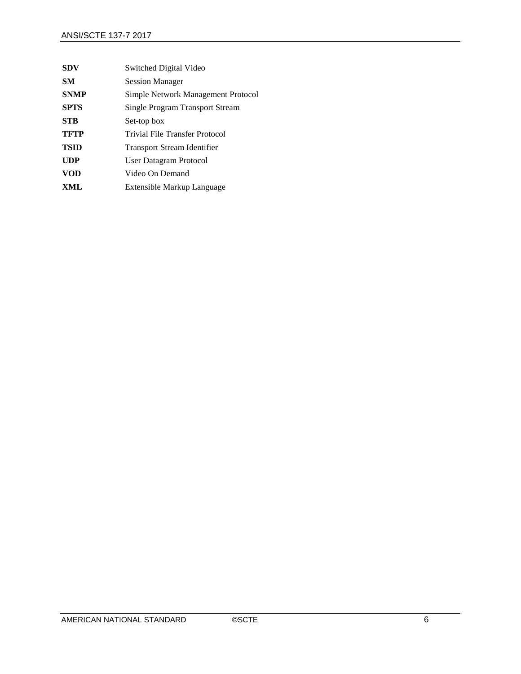| <b>SDV</b>  | Switched Digital Video                 |
|-------------|----------------------------------------|
| SM.         | <b>Session Manager</b>                 |
| <b>SNMP</b> | Simple Network Management Protocol     |
| <b>SPTS</b> | <b>Single Program Transport Stream</b> |
| <b>STB</b>  | Set-top box                            |
| <b>TFTP</b> | Trivial File Transfer Protocol         |
| <b>TSID</b> | <b>Transport Stream Identifier</b>     |
| <b>UDP</b>  | User Datagram Protocol                 |
| <b>VOD</b>  | Video On Demand                        |
| XML         | Extensible Markup Language             |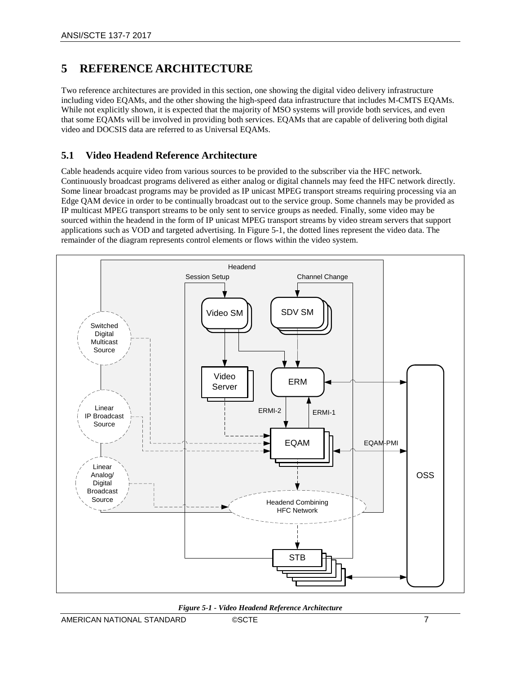## <span id="page-10-0"></span>**5 REFERENCE ARCHITECTURE**

Two reference architectures are provided in this section, one showing the digital video delivery infrastructure including video EQAMs, and the other showing the high-speed data infrastructure that includes M-CMTS EQAMs. While not explicitly shown, it is expected that the majority of MSO systems will provide both services, and even that some EQAMs will be involved in providing both services. EQAMs that are capable of delivering both digital video and DOCSIS data are referred to as Universal EQAMs.

## <span id="page-10-1"></span>**5.1 Video Headend Reference Architecture**

Cable headends acquire video from various sources to be provided to the subscriber via the HFC network. Continuously broadcast programs delivered as either analog or digital channels may feed the HFC network directly. Some linear broadcast programs may be provided as IP unicast MPEG transport streams requiring processing via an Edge QAM device in order to be continually broadcast out to the service group. Some channels may be provided as IP multicast MPEG transport streams to be only sent to service groups as needed. Finally, some video may be sourced within the headend in the form of IP unicast MPEG transport streams by video stream servers that support applications such as VOD and targeted advertising. In [Figure 5-1,](#page-10-2) the dotted lines represent the video data. The remainder of the diagram represents control elements or flows within the video system.



<span id="page-10-2"></span>*Figure 5-1 - Video Headend Reference Architecture*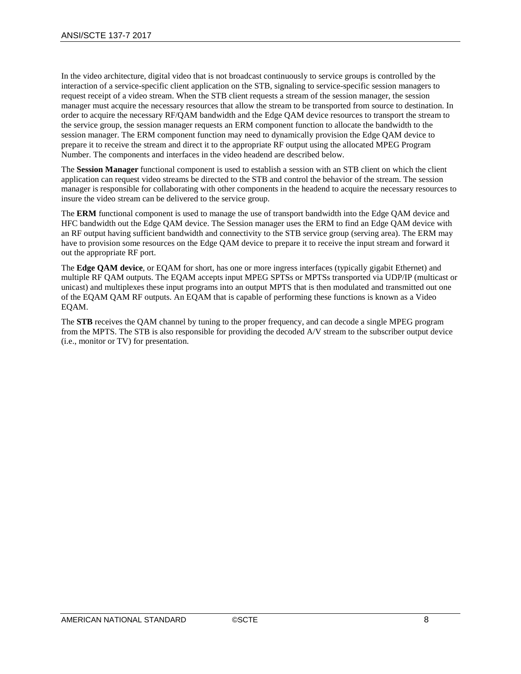In the video architecture, digital video that is not broadcast continuously to service groups is controlled by the interaction of a service-specific client application on the STB, signaling to service-specific session managers to request receipt of a video stream. When the STB client requests a stream of the session manager, the session manager must acquire the necessary resources that allow the stream to be transported from source to destination. In order to acquire the necessary RF/QAM bandwidth and the Edge QAM device resources to transport the stream to the service group, the session manager requests an ERM component function to allocate the bandwidth to the session manager. The ERM component function may need to dynamically provision the Edge QAM device to prepare it to receive the stream and direct it to the appropriate RF output using the allocated MPEG Program Number. The components and interfaces in the video headend are described below.

The **Session Manager** functional component is used to establish a session with an STB client on which the client application can request video streams be directed to the STB and control the behavior of the stream. The session manager is responsible for collaborating with other components in the headend to acquire the necessary resources to insure the video stream can be delivered to the service group.

The **ERM** functional component is used to manage the use of transport bandwidth into the Edge QAM device and HFC bandwidth out the Edge QAM device. The Session manager uses the ERM to find an Edge QAM device with an RF output having sufficient bandwidth and connectivity to the STB service group (serving area). The ERM may have to provision some resources on the Edge QAM device to prepare it to receive the input stream and forward it out the appropriate RF port.

The **Edge QAM device**, or EQAM for short, has one or more ingress interfaces (typically gigabit Ethernet) and multiple RF QAM outputs. The EQAM accepts input MPEG SPTSs or MPTSs transported via UDP/IP (multicast or unicast) and multiplexes these input programs into an output MPTS that is then modulated and transmitted out one of the EQAM QAM RF outputs. An EQAM that is capable of performing these functions is known as a Video EQAM.

The **STB** receives the QAM channel by tuning to the proper frequency, and can decode a single MPEG program from the MPTS. The STB is also responsible for providing the decoded A/V stream to the subscriber output device (i.e., monitor or TV) for presentation.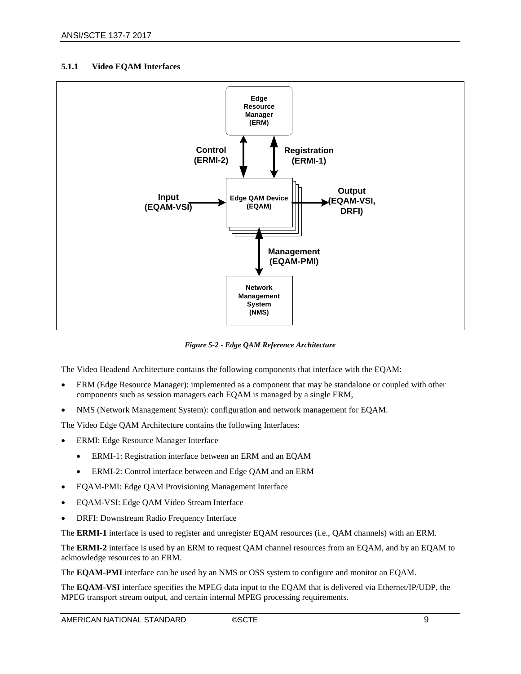#### <span id="page-12-0"></span>**5.1.1 Video EQAM Interfaces**



*Figure 5-2 - Edge QAM Reference Architecture*

<span id="page-12-1"></span>The Video Headend Architecture contains the following components that interface with the EQAM:

- ERM (Edge Resource Manager): implemented as a component that may be standalone or coupled with other components such as session managers each EQAM is managed by a single ERM,
- NMS (Network Management System): configuration and network management for EQAM.

The Video Edge QAM Architecture contains the following Interfaces:

- ERMI: Edge Resource Manager Interface
	- ERMI-1: Registration interface between an ERM and an EQAM
	- ERMI-2: Control interface between and Edge QAM and an ERM
- EQAM-PMI: Edge QAM Provisioning Management Interface
- EQAM-VSI: Edge QAM Video Stream Interface
- DRFI: Downstream Radio Frequency Interface

The **ERMI-1** interface is used to register and unregister EQAM resources (i.e., QAM channels) with an ERM.

The **ERMI-2** interface is used by an ERM to request QAM channel resources from an EQAM, and by an EQAM to acknowledge resources to an ERM.

The **EQAM-PMI** interface can be used by an NMS or OSS system to configure and monitor an EQAM.

The **EQAM-VSI** interface specifies the MPEG data input to the EQAM that is delivered via Ethernet/IP/UDP, the MPEG transport stream output, and certain internal MPEG processing requirements.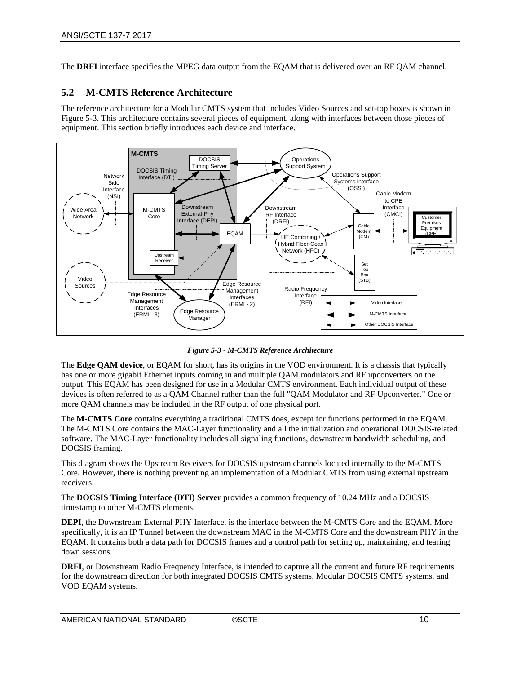The **DRFI** interface specifies the MPEG data output from the EQAM that is delivered over an RF QAM channel.

### <span id="page-13-0"></span>**5.2 M-CMTS Reference Architecture**

The reference architecture for a Modular CMTS system that includes Video Sources and set-top boxes is shown in [Figure 5-3.](#page-13-1) This architecture contains several pieces of equipment, along with interfaces between those pieces of equipment. This section briefly introduces each device and interface.



*Figure 5-3 - M-CMTS Reference Architecture*

<span id="page-13-1"></span>The **Edge QAM device**, or EQAM for short, has its origins in the VOD environment. It is a chassis that typically has one or more gigabit Ethernet inputs coming in and multiple QAM modulators and RF upconverters on the output. This EQAM has been designed for use in a Modular CMTS environment. Each individual output of these devices is often referred to as a QAM Channel rather than the full "QAM Modulator and RF Upconverter." One or more QAM channels may be included in the RF output of one physical port.

The **M-CMTS Core** contains everything a traditional CMTS does, except for functions performed in the EQAM. The M-CMTS Core contains the MAC-Layer functionality and all the initialization and operational DOCSIS-related software. The MAC-Layer functionality includes all signaling functions, downstream bandwidth scheduling, and DOCSIS framing.

This diagram shows the Upstream Receivers for DOCSIS upstream channels located internally to the M-CMTS Core. However, there is nothing preventing an implementation of a Modular CMTS from using external upstream receivers.

The **DOCSIS Timing Interface (DTI) Server** provides a common frequency of 10.24 MHz and a DOCSIS timestamp to other M-CMTS elements.

**DEPI**, the Downstream External PHY Interface, is the interface between the M-CMTS Core and the EQAM. More specifically, it is an IP Tunnel between the downstream MAC in the M-CMTS Core and the downstream PHY in the EQAM. It contains both a data path for DOCSIS frames and a control path for setting up, maintaining, and tearing down sessions.

**DRFI**, or Downstream Radio Frequency Interface, is intended to capture all the current and future RF requirements for the downstream direction for both integrated DOCSIS CMTS systems, Modular DOCSIS CMTS systems, and VOD EQAM systems.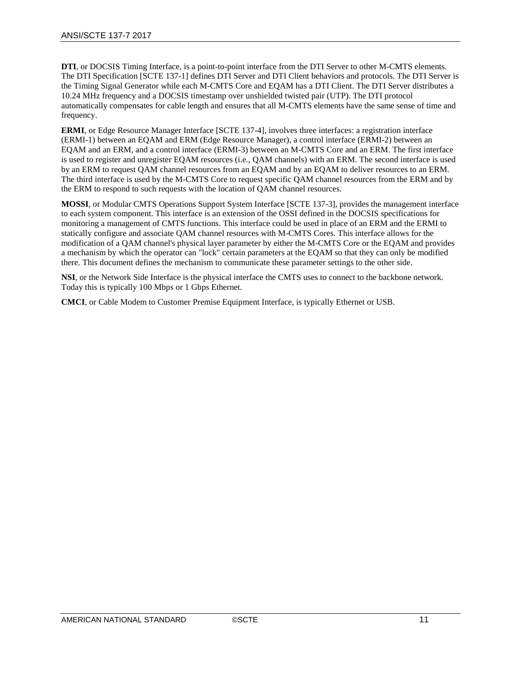**DTI**, or DOCSIS Timing Interface, is a point-to-point interface from the DTI Server to other M-CMTS elements. The DTI Specification [\[SCTE](#page-5-2) 137-1] defines DTI Server and DTI Client behaviors and protocols. The DTI Server is the Timing Signal Generator while each M-CMTS Core and EQAM has a DTI Client. The DTI Server distributes a 10.24 MHz frequency and a DOCSIS timestamp over unshielded twisted pair (UTP). The DTI protocol automatically compensates for cable length and ensures that all M-CMTS elements have the same sense of time and frequency.

**ERMI**, or Edge Resource Manager Interface [\[SCTE](#page-5-3) 137-4], involves three interfaces: a registration interface (ERMI-1) between an EQAM and ERM (Edge Resource Manager), a control interface (ERMI-2) between an EQAM and an ERM, and a control interface (ERMI-3) between an M-CMTS Core and an ERM. The first interface is used to register and unregister EQAM resources (i.e., QAM channels) with an ERM. The second interface is used by an ERM to request QAM channel resources from an EQAM and by an EQAM to deliver resources to an ERM. The third interface is used by the M-CMTS Core to request specific QAM channel resources from the ERM and by the ERM to respond to such requests with the location of QAM channel resources.

**MOSSI**, or Modular CMTS Operations Support System Interface [\[SCTE](#page-5-4) 137-3], provides the management interface to each system component. This interface is an extension of the OSSI defined in the DOCSIS specifications for monitoring a management of CMTS functions. This interface could be used in place of an ERM and the ERMI to statically configure and associate QAM channel resources with M-CMTS Cores. This interface allows for the modification of a QAM channel's physical layer parameter by either the M-CMTS Core or the EQAM and provides a mechanism by which the operator can "lock" certain parameters at the EQAM so that they can only be modified there. This document defines the mechanism to communicate these parameter settings to the other side.

**NSI**, or the Network Side Interface is the physical interface the CMTS uses to connect to the backbone network. Today this is typically 100 Mbps or 1 Gbps Ethernet.

**CMCI**, or Cable Modem to Customer Premise Equipment Interface, is typically Ethernet or USB.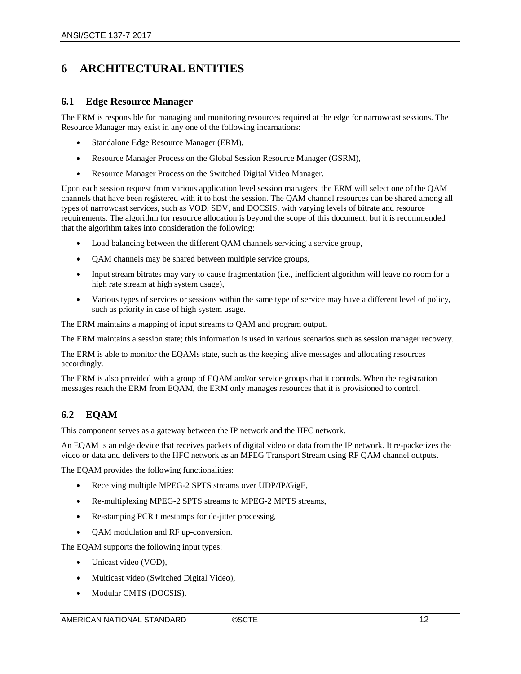## <span id="page-15-0"></span>**6 ARCHITECTURAL ENTITIES**

### <span id="page-15-1"></span>**6.1 Edge Resource Manager**

The ERM is responsible for managing and monitoring resources required at the edge for narrowcast sessions. The Resource Manager may exist in any one of the following incarnations:

- Standalone Edge Resource Manager (ERM),
- Resource Manager Process on the Global Session Resource Manager (GSRM),
- Resource Manager Process on the Switched Digital Video Manager.

Upon each session request from various application level session managers, the ERM will select one of the QAM channels that have been registered with it to host the session. The QAM channel resources can be shared among all types of narrowcast services, such as VOD, SDV, and DOCSIS, with varying levels of bitrate and resource requirements. The algorithm for resource allocation is beyond the scope of this document, but it is recommended that the algorithm takes into consideration the following:

- Load balancing between the different QAM channels servicing a service group,
- QAM channels may be shared between multiple service groups,
- Input stream bitrates may vary to cause fragmentation (i.e., inefficient algorithm will leave no room for a high rate stream at high system usage),
- Various types of services or sessions within the same type of service may have a different level of policy, such as priority in case of high system usage.

The ERM maintains a mapping of input streams to QAM and program output.

The ERM maintains a session state; this information is used in various scenarios such as session manager recovery.

The ERM is able to monitor the EQAMs state, such as the keeping alive messages and allocating resources accordingly.

The ERM is also provided with a group of EQAM and/or service groups that it controls. When the registration messages reach the ERM from EQAM, the ERM only manages resources that it is provisioned to control.

## <span id="page-15-2"></span>**6.2 EQAM**

This component serves as a gateway between the IP network and the HFC network.

An EQAM is an edge device that receives packets of digital video or data from the IP network. It re-packetizes the video or data and delivers to the HFC network as an MPEG Transport Stream using RF QAM channel outputs.

The EQAM provides the following functionalities:

- Receiving multiple MPEG-2 SPTS streams over UDP/IP/GigE,
- Re-multiplexing MPEG-2 SPTS streams to MPEG-2 MPTS streams,
- Re-stamping PCR timestamps for de-jitter processing,
- QAM modulation and RF up-conversion.

The EQAM supports the following input types:

- Unicast video (VOD),
- Multicast video (Switched Digital Video),
- Modular CMTS (DOCSIS).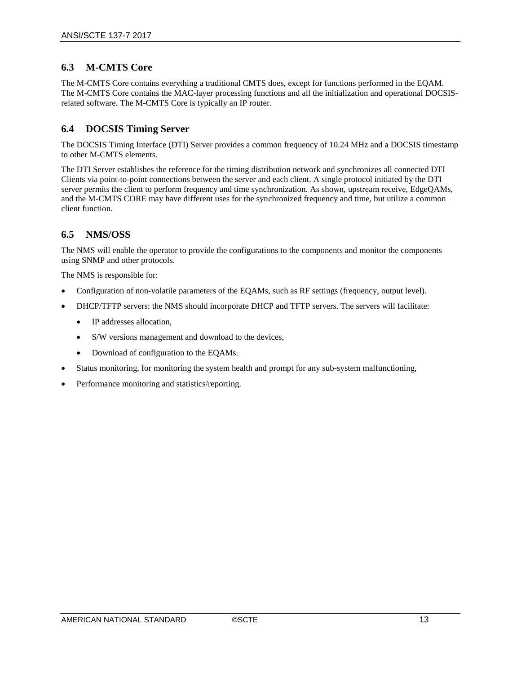## <span id="page-16-0"></span>**6.3 M-CMTS Core**

The M-CMTS Core contains everything a traditional CMTS does, except for functions performed in the EQAM. The M-CMTS Core contains the MAC-layer processing functions and all the initialization and operational DOCSISrelated software. The M-CMTS Core is typically an IP router.

## <span id="page-16-1"></span>**6.4 DOCSIS Timing Server**

The DOCSIS Timing Interface (DTI) Server provides a common frequency of 10.24 MHz and a DOCSIS timestamp to other M-CMTS elements.

The DTI Server establishes the reference for the timing distribution network and synchronizes all connected DTI Clients via point-to-point connections between the server and each client. A single protocol initiated by the DTI server permits the client to perform frequency and time synchronization. As shown, upstream receive, EdgeQAMs, and the M-CMTS CORE may have different uses for the synchronized frequency and time, but utilize a common client function.

## <span id="page-16-2"></span>**6.5 NMS/OSS**

The NMS will enable the operator to provide the configurations to the components and monitor the components using SNMP and other protocols.

The NMS is responsible for:

- Configuration of non-volatile parameters of the EQAMs, such as RF settings (frequency, output level).
- DHCP/TFTP servers: the NMS should incorporate DHCP and TFTP servers. The servers will facilitate:
	- IP addresses allocation,
	- S/W versions management and download to the devices,
	- Download of configuration to the EQAMs.
- Status monitoring, for monitoring the system health and prompt for any sub-system malfunctioning,
- Performance monitoring and statistics/reporting.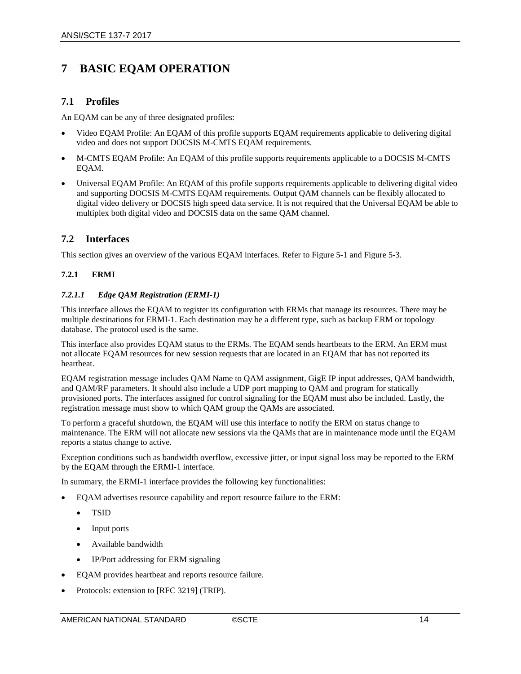## <span id="page-17-0"></span>**7 BASIC EQAM OPERATION**

## <span id="page-17-1"></span>**7.1 Profiles**

An EQAM can be any of three designated profiles:

- Video EQAM Profile: An EQAM of this profile supports EQAM requirements applicable to delivering digital video and does not support DOCSIS M-CMTS EQAM requirements.
- M-CMTS EQAM Profile: An EQAM of this profile supports requirements applicable to a DOCSIS M-CMTS EQAM.
- Universal EQAM Profile: An EQAM of this profile supports requirements applicable to delivering digital video and supporting DOCSIS M-CMTS EQAM requirements. Output QAM channels can be flexibly allocated to digital video delivery or DOCSIS high speed data service. It is not required that the Universal EQAM be able to multiplex both digital video and DOCSIS data on the same QAM channel.

## <span id="page-17-2"></span>**7.2 Interfaces**

This section gives an overview of the various EQAM interfaces. Refer t[o Figure 5-1](#page-10-2) and [Figure 5-3.](#page-13-1)

### <span id="page-17-3"></span>**7.2.1 ERMI**

### <span id="page-17-4"></span>*7.2.1.1 Edge QAM Registration (ERMI-1)*

This interface allows the EQAM to register its configuration with ERMs that manage its resources. There may be multiple destinations for ERMI-1. Each destination may be a different type, such as backup ERM or topology database. The protocol used is the same.

This interface also provides EQAM status to the ERMs. The EQAM sends heartbeats to the ERM. An ERM must not allocate EQAM resources for new session requests that are located in an EQAM that has not reported its heartbeat.

EQAM registration message includes QAM Name to QAM assignment, GigE IP input addresses, QAM bandwidth, and QAM/RF parameters. It should also include a UDP port mapping to QAM and program for statically provisioned ports. The interfaces assigned for control signaling for the EQAM must also be included. Lastly, the registration message must show to which QAM group the QAMs are associated.

To perform a graceful shutdown, the EQAM will use this interface to notify the ERM on status change to maintenance. The ERM will not allocate new sessions via the QAMs that are in maintenance mode until the EQAM reports a status change to active.

Exception conditions such as bandwidth overflow, excessive jitter, or input signal loss may be reported to the ERM by the EQAM through the ERMI-1 interface.

In summary, the ERMI-1 interface provides the following key functionalities:

- EQAM advertises resource capability and report resource failure to the ERM:
	- TSID
	- Input ports
	- Available bandwidth
	- IP/Port addressing for ERM signaling
- EQAM provides heartbeat and reports resource failure.
- Protocols: extension to [\[RFC 3219\]](#page-5-5) (TRIP).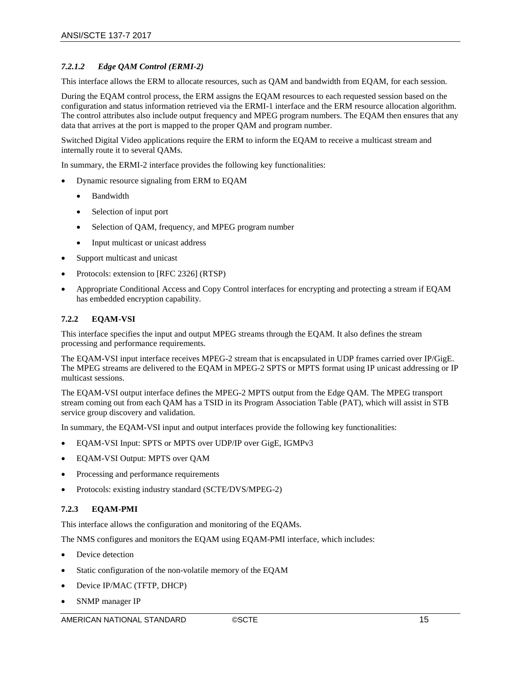#### <span id="page-18-0"></span>*7.2.1.2 Edge QAM Control (ERMI-2)*

This interface allows the ERM to allocate resources, such as QAM and bandwidth from EQAM, for each session.

During the EQAM control process, the ERM assigns the EQAM resources to each requested session based on the configuration and status information retrieved via the ERMI-1 interface and the ERM resource allocation algorithm. The control attributes also include output frequency and MPEG program numbers. The EQAM then ensures that any data that arrives at the port is mapped to the proper QAM and program number.

Switched Digital Video applications require the ERM to inform the EQAM to receive a multicast stream and internally route it to several QAMs.

In summary, the ERMI-2 interface provides the following key functionalities:

- Dynamic resource signaling from ERM to EQAM
	- Bandwidth
	- Selection of input port
	- Selection of OAM, frequency, and MPEG program number
	- Input multicast or unicast address
- Support multicast and unicast
- Protocols: extension to [\[RFC 2326\]](#page-5-6) (RTSP)
- Appropriate Conditional Access and Copy Control interfaces for encrypting and protecting a stream if EQAM has embedded encryption capability.

#### <span id="page-18-1"></span>**7.2.2 EQAM-VSI**

This interface specifies the input and output MPEG streams through the EQAM. It also defines the stream processing and performance requirements.

The EQAM-VSI input interface receives MPEG-2 stream that is encapsulated in UDP frames carried over IP/GigE. The MPEG streams are delivered to the EQAM in MPEG-2 SPTS or MPTS format using IP unicast addressing or IP multicast sessions.

The EQAM-VSI output interface defines the MPEG-2 MPTS output from the Edge QAM. The MPEG transport stream coming out from each QAM has a TSID in its Program Association Table (PAT), which will assist in STB service group discovery and validation.

In summary, the EQAM-VSI input and output interfaces provide the following key functionalities:

- EQAM-VSI Input: SPTS or MPTS over UDP/IP over GigE, IGMPv3
- EQAM-VSI Output: MPTS over QAM
- Processing and performance requirements
- Protocols: existing industry standard (SCTE/DVS/MPEG-2)

#### <span id="page-18-2"></span>**7.2.3 EQAM-PMI**

This interface allows the configuration and monitoring of the EQAMs.

The NMS configures and monitors the EQAM using EQAM-PMI interface, which includes:

- Device detection
- Static configuration of the non-volatile memory of the EQAM
- Device IP/MAC (TFTP, DHCP)
- SNMP manager IP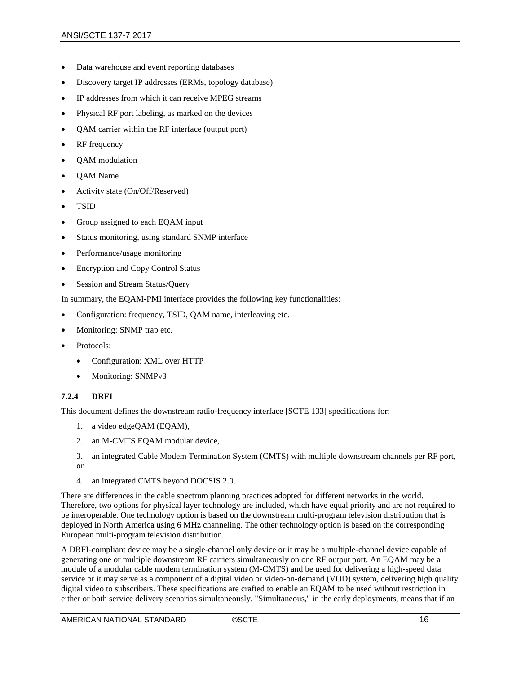- Data warehouse and event reporting databases
- Discovery target IP addresses (ERMs, topology database)
- IP addresses from which it can receive MPEG streams
- Physical RF port labeling, as marked on the devices
- QAM carrier within the RF interface (output port)
- RF frequency
- QAM modulation
- QAM Name
- Activity state (On/Off/Reserved)
- TSID
- Group assigned to each EQAM input
- Status monitoring, using standard SNMP interface
- Performance/usage monitoring
- Encryption and Copy Control Status
- Session and Stream Status/Query

In summary, the EQAM-PMI interface provides the following key functionalities:

- Configuration: frequency, TSID, QAM name, interleaving etc.
- Monitoring: SNMP trap etc.
- Protocols:
	- Configuration: XML over HTTP
	- Monitoring: SNMPv3

#### <span id="page-19-0"></span>**7.2.4 DRFI**

This document defines the downstream radio-frequency interface [\[SCTE](#page-5-7) 133] specifications for:

- 1. a video edgeQAM (EQAM),
- 2. an M-CMTS EQAM modular device,
- 3. an integrated Cable Modem Termination System (CMTS) with multiple downstream channels per RF port, or
- 4. an integrated CMTS beyond DOCSIS 2.0.

There are differences in the cable spectrum planning practices adopted for different networks in the world. Therefore, two options for physical layer technology are included, which have equal priority and are not required to be interoperable. One technology option is based on the downstream multi-program television distribution that is deployed in North America using 6 MHz channeling. The other technology option is based on the corresponding European multi-program television distribution.

A DRFI-compliant device may be a single-channel only device or it may be a multiple-channel device capable of generating one or multiple downstream RF carriers simultaneously on one RF output port. An EQAM may be a module of a modular cable modem termination system (M-CMTS) and be used for delivering a high-speed data service or it may serve as a component of a digital video or video-on-demand (VOD) system, delivering high quality digital video to subscribers. These specifications are crafted to enable an EQAM to be used without restriction in either or both service delivery scenarios simultaneously. "Simultaneous," in the early deployments, means that if an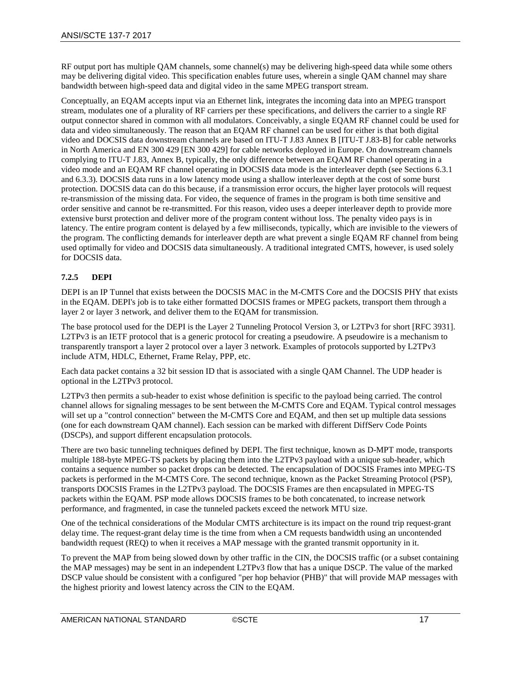RF output port has multiple QAM channels, some channel(s) may be delivering high-speed data while some others may be delivering digital video. This specification enables future uses, wherein a single QAM channel may share bandwidth between high-speed data and digital video in the same MPEG transport stream.

Conceptually, an EQAM accepts input via an Ethernet link, integrates the incoming data into an MPEG transport stream, modulates one of a plurality of RF carriers per these specifications, and delivers the carrier to a single RF output connector shared in common with all modulators. Conceivably, a single EQAM RF channel could be used for data and video simultaneously. The reason that an EQAM RF channel can be used for either is that both digital video and DOCSIS data downstream channels are based on ITU-T J.83 Annex B [\[ITU-T J.83-B\]](#page-5-8) for cable networks in North America and EN 300 429 [\[EN 300 429\]](#page-5-9) for cable networks deployed in Europe. On downstream channels complying to ITU-T J.83, Annex B, typically, the only difference between an EQAM RF channel operating in a video mode and an EQAM RF channel operating in DOCSIS data mode is the interleaver depth (see Sections 6.3.1 and 6.3.3). DOCSIS data runs in a low latency mode using a shallow interleaver depth at the cost of some burst protection. DOCSIS data can do this because, if a transmission error occurs, the higher layer protocols will request re-transmission of the missing data. For video, the sequence of frames in the program is both time sensitive and order sensitive and cannot be re-transmitted. For this reason, video uses a deeper interleaver depth to provide more extensive burst protection and deliver more of the program content without loss. The penalty video pays is in latency. The entire program content is delayed by a few milliseconds, typically, which are invisible to the viewers of the program. The conflicting demands for interleaver depth are what prevent a single EQAM RF channel from being used optimally for video and DOCSIS data simultaneously. A traditional integrated CMTS, however, is used solely for DOCSIS data.

### <span id="page-20-0"></span>**7.2.5 DEPI**

DEPI is an IP Tunnel that exists between the DOCSIS MAC in the M-CMTS Core and the DOCSIS PHY that exists in the EQAM. DEPI's job is to take either formatted DOCSIS frames or MPEG packets, transport them through a layer 2 or layer 3 network, and deliver them to the EQAM for transmission.

The base protocol used for the DEPI is the Layer 2 Tunneling Protocol Version 3, or L2TPv3 for shor[t \[RFC 3931\].](#page-5-10) L2TPv3 is an IETF protocol that is a generic protocol for creating a pseudowire. A pseudowire is a mechanism to transparently transport a layer 2 protocol over a layer 3 network. Examples of protocols supported by L2TPv3 include ATM, HDLC, Ethernet, Frame Relay, PPP, etc.

Each data packet contains a 32 bit session ID that is associated with a single QAM Channel. The UDP header is optional in the L2TPv3 protocol.

L2TPv3 then permits a sub-header to exist whose definition is specific to the payload being carried. The control channel allows for signaling messages to be sent between the M-CMTS Core and EQAM. Typical control messages will set up a "control connection" between the M-CMTS Core and EQAM, and then set up multiple data sessions (one for each downstream QAM channel). Each session can be marked with different DiffServ Code Points (DSCPs), and support different encapsulation protocols.

There are two basic tunneling techniques defined by DEPI. The first technique, known as D-MPT mode, transports multiple 188-byte MPEG-TS packets by placing them into the L2TPv3 payload with a unique sub-header, which contains a sequence number so packet drops can be detected. The encapsulation of DOCSIS Frames into MPEG-TS packets is performed in the M-CMTS Core. The second technique, known as the Packet Streaming Protocol (PSP), transports DOCSIS Frames in the L2TPv3 payload. The DOCSIS Frames are then encapsulated in MPEG-TS packets within the EQAM. PSP mode allows DOCSIS frames to be both concatenated, to increase network performance, and fragmented, in case the tunneled packets exceed the network MTU size.

One of the technical considerations of the Modular CMTS architecture is its impact on the round trip request-grant delay time. The request-grant delay time is the time from when a CM requests bandwidth using an uncontended bandwidth request (REQ) to when it receives a MAP message with the granted transmit opportunity in it.

To prevent the MAP from being slowed down by other traffic in the CIN, the DOCSIS traffic (or a subset containing the MAP messages) may be sent in an independent L2TPv3 flow that has a unique DSCP. The value of the marked DSCP value should be consistent with a configured "per hop behavior (PHB)" that will provide MAP messages with the highest priority and lowest latency across the CIN to the EQAM.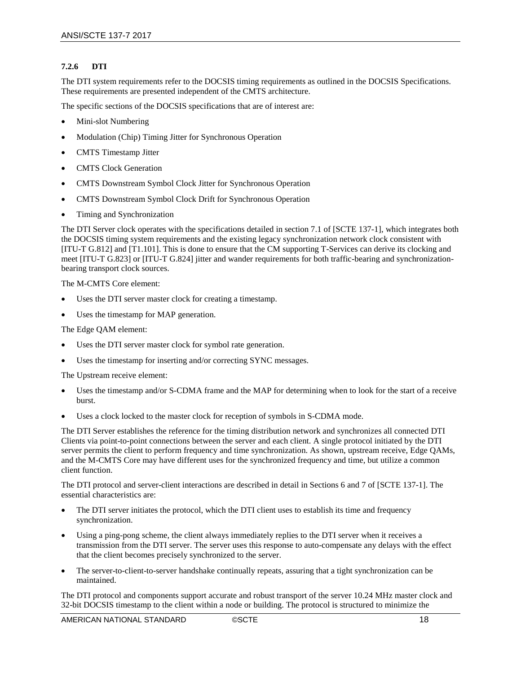#### <span id="page-21-0"></span>**7.2.6 DTI**

The DTI system requirements refer to the DOCSIS timing requirements as outlined in the DOCSIS Specifications. These requirements are presented independent of the CMTS architecture.

The specific sections of the DOCSIS specifications that are of interest are:

- Mini-slot Numbering
- Modulation (Chip) Timing Jitter for Synchronous Operation
- CMTS Timestamp Jitter
- CMTS Clock Generation
- CMTS Downstream Symbol Clock Jitter for Synchronous Operation
- CMTS Downstream Symbol Clock Drift for Synchronous Operation
- Timing and Synchronization

The DTI Server clock operates with the specifications detailed in section 7.1 of [\[SCTE](#page-5-2) 137-1], which integrates both the DOCSIS timing system requirements and the existing legacy synchronization network clock consistent with [\[ITU-T G.812\]](#page-5-11) and [\[T1.101\].](#page-5-12) This is done to ensure that the CM supporting T-Services can derive its clocking and meet [\[ITU-T G.823\]](#page-5-13) or [\[ITU-T G.824\]](#page-5-14) jitter and wander requirements for both traffic-bearing and synchronizationbearing transport clock sources.

The M-CMTS Core element:

- Uses the DTI server master clock for creating a timestamp.
- Uses the timestamp for MAP generation.

The Edge QAM element:

- Uses the DTI server master clock for symbol rate generation.
- Uses the timestamp for inserting and/or correcting SYNC messages.

The Upstream receive element:

- Uses the timestamp and/or S-CDMA frame and the MAP for determining when to look for the start of a receive burst.
- Uses a clock locked to the master clock for reception of symbols in S-CDMA mode.

The DTI Server establishes the reference for the timing distribution network and synchronizes all connected DTI Clients via point-to-point connections between the server and each client. A single protocol initiated by the DTI server permits the client to perform frequency and time synchronization. As shown, upstream receive, Edge QAMs, and the M-CMTS Core may have different uses for the synchronized frequency and time, but utilize a common client function.

The DTI protocol and server-client interactions are described in detail in Sections 6 and 7 of [\[SCTE](#page-5-2) 137-1]. The essential characteristics are:

- The DTI server initiates the protocol, which the DTI client uses to establish its time and frequency synchronization.
- Using a ping-pong scheme, the client always immediately replies to the DTI server when it receives a transmission from the DTI server. The server uses this response to auto-compensate any delays with the effect that the client becomes precisely synchronized to the server.
- The server-to-client-to-server handshake continually repeats, assuring that a tight synchronization can be maintained.

The DTI protocol and components support accurate and robust transport of the server 10.24 MHz master clock and 32-bit DOCSIS timestamp to the client within a node or building. The protocol is structured to minimize the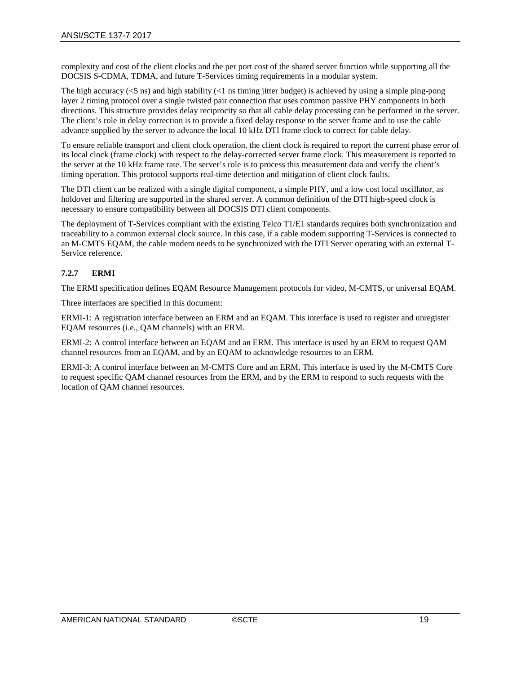complexity and cost of the client clocks and the per port cost of the shared server function while supporting all the DOCSIS S-CDMA, TDMA, and future T-Services timing requirements in a modular system.

The high accuracy  $\langle$ <5 ns) and high stability  $\langle$ <1 ns timing jitter budget) is achieved by using a simple ping-pong layer 2 timing protocol over a single twisted pair connection that uses common passive PHY components in both directions. This structure provides delay reciprocity so that all cable delay processing can be performed in the server. The client's role in delay correction is to provide a fixed delay response to the server frame and to use the cable advance supplied by the server to advance the local 10 kHz DTI frame clock to correct for cable delay.

To ensure reliable transport and client clock operation, the client clock is required to report the current phase error of its local clock (frame clock) with respect to the delay-corrected server frame clock. This measurement is reported to the server at the 10 kHz frame rate. The server's role is to process this measurement data and verify the client's timing operation. This protocol supports real-time detection and mitigation of client clock faults.

The DTI client can be realized with a single digital component, a simple PHY, and a low cost local oscillator, as holdover and filtering are supported in the shared server. A common definition of the DTI high-speed clock is necessary to ensure compatibility between all DOCSIS DTI client components.

The deployment of T-Services compliant with the existing Telco T1/E1 standards requires both synchronization and traceability to a common external clock source. In this case, if a cable modem supporting T-Services is connected to an M-CMTS EQAM, the cable modem needs to be synchronized with the DTI Server operating with an external T-Service reference.

### <span id="page-22-0"></span>**7.2.7 ERMI**

The ERMI specification defines EQAM Resource Management protocols for video, M-CMTS, or universal EQAM.

Three interfaces are specified in this document:

ERMI-1: A registration interface between an ERM and an EQAM. This interface is used to register and unregister EQAM resources (i.e., QAM channels) with an ERM.

ERMI-2: A control interface between an EQAM and an ERM. This interface is used by an ERM to request QAM channel resources from an EQAM, and by an EQAM to acknowledge resources to an ERM.

ERMI-3: A control interface between an M-CMTS Core and an ERM. This interface is used by the M-CMTS Core to request specific QAM channel resources from the ERM, and by the ERM to respond to such requests with the location of QAM channel resources.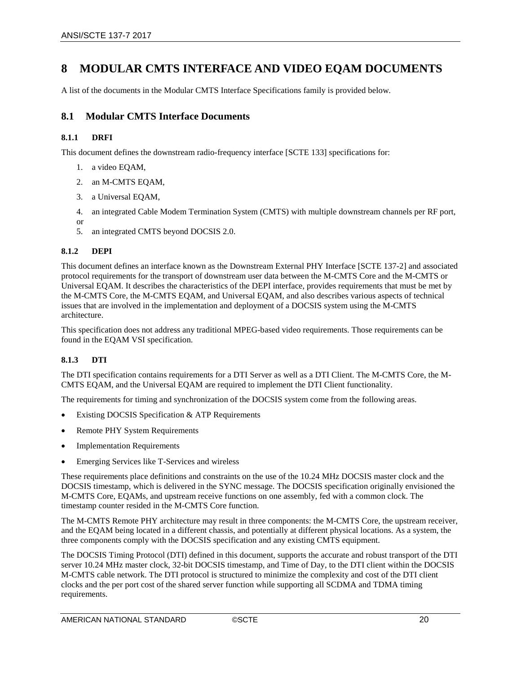## <span id="page-23-0"></span>**8 MODULAR CMTS INTERFACE AND VIDEO EQAM DOCUMENTS**

A list of the documents in the Modular CMTS Interface Specifications family is provided below.

## <span id="page-23-1"></span>**8.1 Modular CMTS Interface Documents**

#### <span id="page-23-2"></span>**8.1.1 DRFI**

This document defines the downstream radio-frequency interface [\[SCTE](#page-5-7) 133] specifications for:

- 1. a video EQAM,
- 2. an M-CMTS EQAM,
- 3. a Universal EQAM,
- 4. an integrated Cable Modem Termination System (CMTS) with multiple downstream channels per RF port,
- 5. an integrated CMTS beyond DOCSIS 2.0.

#### <span id="page-23-3"></span>**8.1.2 DEPI**

or

This document defines an interface known as the Downstream External PHY Interface [\[SCTE](#page-5-15) 137-2] and associated protocol requirements for the transport of downstream user data between the M-CMTS Core and the M-CMTS or Universal EQAM. It describes the characteristics of the DEPI interface, provides requirements that must be met by the M-CMTS Core, the M-CMTS EQAM, and Universal EQAM, and also describes various aspects of technical issues that are involved in the implementation and deployment of a DOCSIS system using the M-CMTS architecture.

This specification does not address any traditional MPEG-based video requirements. Those requirements can be found in the EQAM VSI specification.

#### <span id="page-23-4"></span>**8.1.3 DTI**

The DTI specification contains requirements for a DTI Server as well as a DTI Client. The M-CMTS Core, the M-CMTS EQAM, and the Universal EQAM are required to implement the DTI Client functionality.

The requirements for timing and synchronization of the DOCSIS system come from the following areas.

- Existing DOCSIS Specification & ATP Requirements
- Remote PHY System Requirements
- **Implementation Requirements**
- Emerging Services like T-Services and wireless

These requirements place definitions and constraints on the use of the 10.24 MHz DOCSIS master clock and the DOCSIS timestamp, which is delivered in the SYNC message. The DOCSIS specification originally envisioned the M-CMTS Core, EQAMs, and upstream receive functions on one assembly, fed with a common clock. The timestamp counter resided in the M-CMTS Core function.

The M-CMTS Remote PHY architecture may result in three components: the M-CMTS Core, the upstream receiver, and the EQAM being located in a different chassis, and potentially at different physical locations. As a system, the three components comply with the DOCSIS specification and any existing CMTS equipment.

The DOCSIS Timing Protocol (DTI) defined in this document, supports the accurate and robust transport of the DTI server 10.24 MHz master clock, 32-bit DOCSIS timestamp, and Time of Day, to the DTI client within the DOCSIS M-CMTS cable network. The DTI protocol is structured to minimize the complexity and cost of the DTI client clocks and the per port cost of the shared server function while supporting all SCDMA and TDMA timing requirements.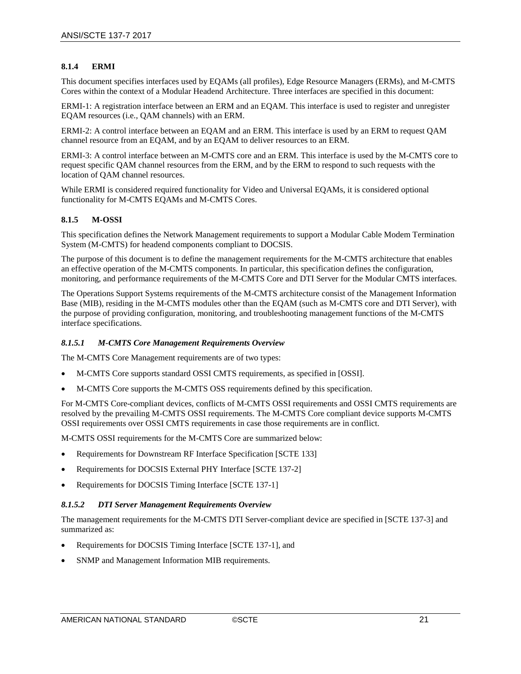#### <span id="page-24-0"></span>**8.1.4 ERMI**

This document specifies interfaces used by EQAMs (all profiles), Edge Resource Managers (ERMs), and M-CMTS Cores within the context of a Modular Headend Architecture. Three interfaces are specified in this document:

ERMI-1: A registration interface between an ERM and an EQAM. This interface is used to register and unregister EQAM resources (i.e., QAM channels) with an ERM.

ERMI-2: A control interface between an EQAM and an ERM. This interface is used by an ERM to request QAM channel resource from an EQAM, and by an EQAM to deliver resources to an ERM.

ERMI-3: A control interface between an M-CMTS core and an ERM. This interface is used by the M-CMTS core to request specific QAM channel resources from the ERM, and by the ERM to respond to such requests with the location of QAM channel resources.

While ERMI is considered required functionality for Video and Universal EQAMs, it is considered optional functionality for M-CMTS EQAMs and M-CMTS Cores.

#### <span id="page-24-1"></span>**8.1.5 M-OSSI**

This specification defines the Network Management requirements to support a Modular Cable Modem Termination System (M-CMTS) for headend components compliant to DOCSIS.

The purpose of this document is to define the management requirements for the M-CMTS architecture that enables an effective operation of the M-CMTS components. In particular, this specification defines the configuration, monitoring, and performance requirements of the M-CMTS Core and DTI Server for the Modular CMTS interfaces.

The Operations Support Systems requirements of the M-CMTS architecture consist of the Management Information Base (MIB), residing in the M-CMTS modules other than the EQAM (such as M-CMTS core and DTI Server), with the purpose of providing configuration, monitoring, and troubleshooting management functions of the M-CMTS interface specifications.

#### <span id="page-24-2"></span>*8.1.5.1 M-CMTS Core Management Requirements Overview*

The M-CMTS Core Management requirements are of two types:

- M-CMTS Core supports standard OSSI CMTS requirements, as specified in [\[OSSI\].](#page-5-16)
- M-CMTS Core supports the M-CMTS OSS requirements defined by this specification.

For M-CMTS Core-compliant devices, conflicts of M-CMTS OSSI requirements and OSSI CMTS requirements are resolved by the prevailing M-CMTS OSSI requirements. The M-CMTS Core compliant device supports M-CMTS OSSI requirements over OSSI CMTS requirements in case those requirements are in conflict.

M-CMTS OSSI requirements for the M-CMTS Core are summarized below:

- Requirements for Downstream RF Interface Specification [\[SCTE](#page-5-7) 133]
- Requirements for DOCSIS External PHY Interface [\[SCTE](#page-5-15) 137-2]
- Requirements for DOCSIS Timing Interface [\[SCTE](#page-5-2) 137-1]

#### <span id="page-24-3"></span>*8.1.5.2 DTI Server Management Requirements Overview*

The management requirements for the M-CMTS DTI Server-compliant device are specified i[n \[SCTE](#page-5-4) 137-3] and summarized as:

- Requirements for DOCSIS Timing Interface [\[SCTE](#page-5-2) 137-1], and
- SNMP and Management Information MIB requirements.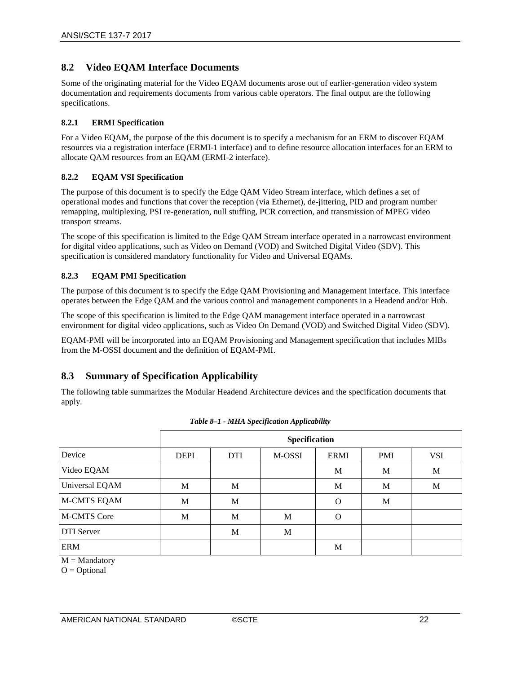### <span id="page-25-0"></span>**8.2 Video EQAM Interface Documents**

Some of the originating material for the Video EQAM documents arose out of earlier-generation video system documentation and requirements documents from various cable operators. The final output are the following specifications.

#### <span id="page-25-1"></span>**8.2.1 ERMI Specification**

For a Video EQAM, the purpose of the this document is to specify a mechanism for an ERM to discover EQAM resources via a registration interface (ERMI-1 interface) and to define resource allocation interfaces for an ERM to allocate QAM resources from an EQAM (ERMI-2 interface).

#### <span id="page-25-2"></span>**8.2.2 EQAM VSI Specification**

The purpose of this document is to specify the Edge QAM Video Stream interface, which defines a set of operational modes and functions that cover the reception (via Ethernet), de-jittering, PID and program number remapping, multiplexing, PSI re-generation, null stuffing, PCR correction, and transmission of MPEG video transport streams.

The scope of this specification is limited to the Edge QAM Stream interface operated in a narrowcast environment for digital video applications, such as Video on Demand (VOD) and Switched Digital Video (SDV). This specification is considered mandatory functionality for Video and Universal EQAMs.

#### <span id="page-25-3"></span>**8.2.3 EQAM PMI Specification**

The purpose of this document is to specify the Edge QAM Provisioning and Management interface. This interface operates between the Edge QAM and the various control and management components in a Headend and/or Hub.

The scope of this specification is limited to the Edge QAM management interface operated in a narrowcast environment for digital video applications, such as Video On Demand (VOD) and Switched Digital Video (SDV).

EQAM-PMI will be incorporated into an EQAM Provisioning and Management specification that includes MIBs from the M-OSSI document and the definition of EQAM-PMI.

## <span id="page-25-4"></span>**8.3 Summary of Specification Applicability**

The following table summarizes the Modular Headend Architecture devices and the specification documents that apply.

<span id="page-25-5"></span>

|                    |             |            | Specification |             |            |            |
|--------------------|-------------|------------|---------------|-------------|------------|------------|
| Device             | <b>DEPI</b> | <b>DTI</b> | M-OSSI        | <b>ERMI</b> | <b>PMI</b> | <b>VSI</b> |
| Video EQAM         |             |            |               | M           | M          | M          |
| Universal EQAM     | M           | M          |               | M           | M          | M          |
| <b>M-CMTS EQAM</b> | M           | M          |               | $\Omega$    | M          |            |
| <b>M-CMTS Core</b> | M           | M          | M             | Ω           |            |            |
| DTI Server         |             | M          | M             |             |            |            |
| <b>ERM</b>         |             |            |               | M           |            |            |

|  |  | Table 8-1 - MHA Specification Applicability |  |  |
|--|--|---------------------------------------------|--|--|
|--|--|---------------------------------------------|--|--|

 $M =$ Mandatory

 $O = \text{Optional}$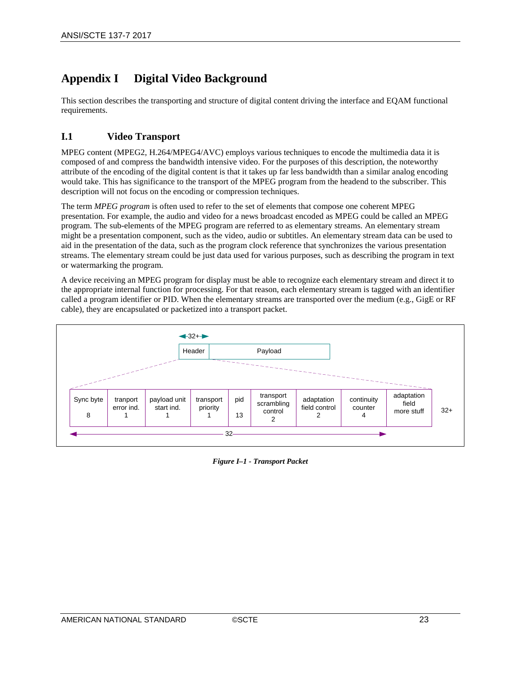## <span id="page-26-0"></span>**Appendix I Digital Video Background**

This section describes the transporting and structure of digital content driving the interface and EQAM functional requirements.

## <span id="page-26-1"></span>**I.1 Video Transport**

MPEG content (MPEG2, H.264/MPEG4/AVC) employs various techniques to encode the multimedia data it is composed of and compress the bandwidth intensive video. For the purposes of this description, the noteworthy attribute of the encoding of the digital content is that it takes up far less bandwidth than a similar analog encoding would take. This has significance to the transport of the MPEG program from the headend to the subscriber. This description will not focus on the encoding or compression techniques.

The term *MPEG program* is often used to refer to the set of elements that compose one coherent MPEG presentation. For example, the audio and video for a news broadcast encoded as MPEG could be called an MPEG program. The sub-elements of the MPEG program are referred to as elementary streams. An elementary stream might be a presentation component, such as the video, audio or subtitles. An elementary stream data can be used to aid in the presentation of the data, such as the program clock reference that synchronizes the various presentation streams. The elementary stream could be just data used for various purposes, such as describing the program in text or watermarking the program.

A device receiving an MPEG program for display must be able to recognize each elementary stream and direct it to the appropriate internal function for processing. For that reason, each elementary stream is tagged with an identifier called a program identifier or PID. When the elementary streams are transported over the medium (e.g., GigE or RF cable), they are encapsulated or packetized into a transport packet.

<span id="page-26-2"></span>

*Figure I–1 - Transport Packet*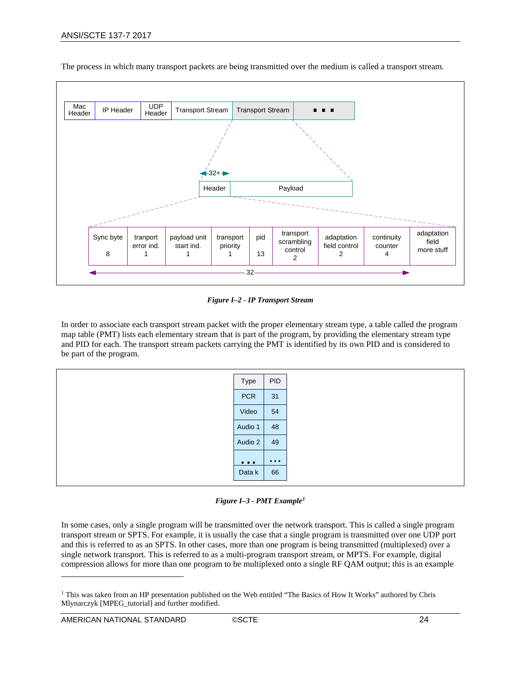

The process in which many transport packets are being transmitted over the medium is called a transport stream.

*Figure I–2 - IP Transport Stream*

<span id="page-27-0"></span>In order to associate each transport stream packet with the proper elementary stream type, a table called the program map table (PMT) lists each elementary stream that is part of the program, by providing the elementary stream type and PID for each. The transport stream packets carrying the PMT is identified by its own PID and is considered to be part of the program.

| Type                                                            | PID                                          |
|-----------------------------------------------------------------|----------------------------------------------|
| <b>PCR</b>                                                      | 31                                           |
| Video                                                           | 54                                           |
| Audio 1                                                         | 48                                           |
| Audio 2                                                         | 49                                           |
| $\begin{array}{ccc} \bullet & \bullet & \bullet \\ \end{array}$ | $\mathbf{0}$ , $\mathbf{0}$ , $\mathbf{0}$ , |
| Data k                                                          | 66                                           |

*Figure I–3 - PMT Example[1](#page-27-2)*

<span id="page-27-1"></span>In some cases, only a single program will be transmitted over the network transport. This is called a single program transport stream or SPTS. For example, it is usually the case that a single program is transmitted over one UDP port and this is referred to as an SPTS. In other cases, more than one program is being transmitted (multiplexed) over a single network transport. This is referred to as a multi-program transport stream, or MPTS. For example, digital compression allows for more than one program to be multiplexed onto a single RF QAM output; this is an example

 $\overline{a}$ 

<span id="page-27-2"></span><sup>1</sup> This was taken from an HP presentation published on the Web entitled "The Basics of How It Works" authored by Chris Mlynarczyk [\[MPEG\\_tutorial\]](#page-5-17) and further modified.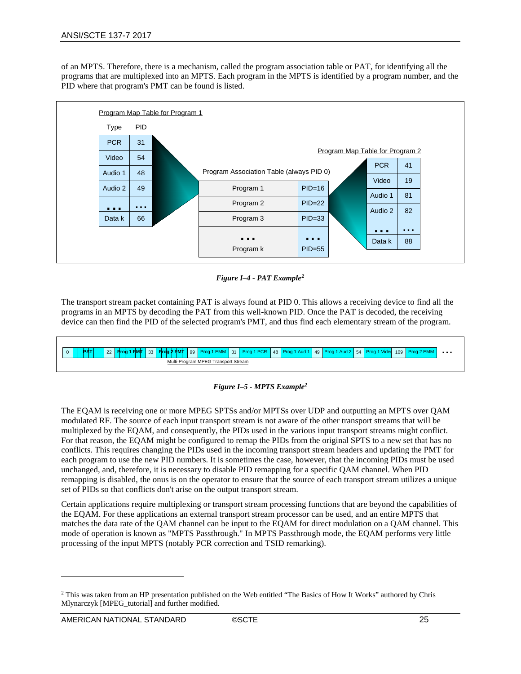of an MPTS. Therefore, there is a mechanism, called the program association table or PAT, for identifying all the programs that are multiplexed into an MPTS. Each program in the MPTS is identified by a program number, and the PID where that program's PMT can be found is listed.



*Figure I–4 - PAT Example[2](#page-28-2)*

<span id="page-28-0"></span>The transport stream packet containing PAT is always found at PID 0. This allows a receiving device to find all the programs in an MPTS by decoding the PAT from this well-known PID. Once the PAT is decoded, the receiving device can then find the PID of the selected program's PMT, and thus find each elementary stream of the program.

| 0 **| | PAT| | 22 | Prog 1 PMT |** 33 | Pro<mark>g 2 PMT</mark> | 99 | Prog 1 EMM | 31 | Prog 1 PCR | 48 | Prog 1 Aud 1 | 49 | Prog 1 Aud 2 | 54 | Prog 1 Video 109 | Prog 2 EMM | ... Multi-Program MPEG Transport Stream

#### *Figure I–5 - MPTS Example2*

<span id="page-28-1"></span>The EQAM is receiving one or more MPEG SPTSs and/or MPTSs over UDP and outputting an MPTS over QAM modulated RF. The source of each input transport stream is not aware of the other transport streams that will be multiplexed by the EQAM, and consequently, the PIDs used in the various input transport streams might conflict. For that reason, the EQAM might be configured to remap the PIDs from the original SPTS to a new set that has no conflicts. This requires changing the PIDs used in the incoming transport stream headers and updating the PMT for each program to use the new PID numbers. It is sometimes the case, however, that the incoming PIDs must be used unchanged, and, therefore, it is necessary to disable PID remapping for a specific QAM channel. When PID remapping is disabled, the onus is on the operator to ensure that the source of each transport stream utilizes a unique set of PIDs so that conflicts don't arise on the output transport stream.

Certain applications require multiplexing or transport stream processing functions that are beyond the capabilities of the EQAM. For these applications an external transport stream processor can be used, and an entire MPTS that matches the data rate of the QAM channel can be input to the EQAM for direct modulation on a QAM channel. This mode of operation is known as "MPTS Passthrough." In MPTS Passthrough mode, the EQAM performs very little processing of the input MPTS (notably PCR correction and TSID remarking).

 $\overline{a}$ 

<span id="page-28-2"></span><sup>2</sup> This was taken from an HP presentation published on the Web entitled "The Basics of How It Works" authored by Chris Mlynarczyk [\[MPEG\\_tutorial\]](#page-5-17) and further modified.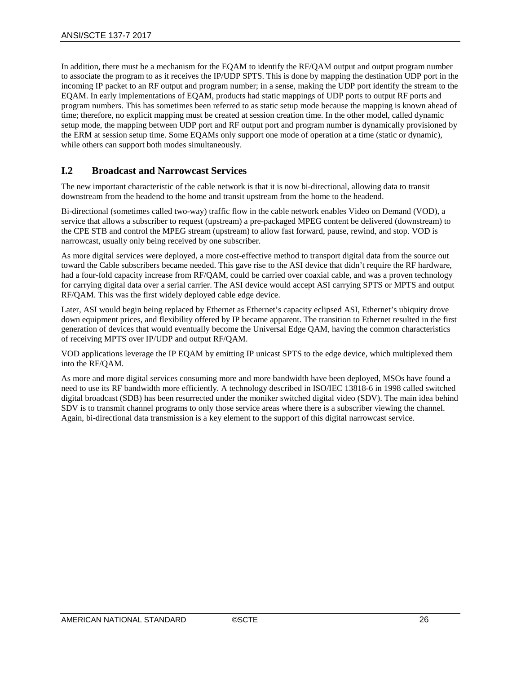In addition, there must be a mechanism for the EQAM to identify the RF/QAM output and output program number to associate the program to as it receives the IP/UDP SPTS. This is done by mapping the destination UDP port in the incoming IP packet to an RF output and program number; in a sense, making the UDP port identify the stream to the EQAM. In early implementations of EQAM, products had static mappings of UDP ports to output RF ports and program numbers. This has sometimes been referred to as static setup mode because the mapping is known ahead of time; therefore, no explicit mapping must be created at session creation time. In the other model, called dynamic setup mode, the mapping between UDP port and RF output port and program number is dynamically provisioned by the ERM at session setup time. Some EQAMs only support one mode of operation at a time (static or dynamic), while others can support both modes simultaneously.

## <span id="page-29-0"></span>**I.2 Broadcast and Narrowcast Services**

The new important characteristic of the cable network is that it is now bi-directional, allowing data to transit downstream from the headend to the home and transit upstream from the home to the headend.

Bi-directional (sometimes called two-way) traffic flow in the cable network enables Video on Demand (VOD), a service that allows a subscriber to request (upstream) a pre-packaged MPEG content be delivered (downstream) to the CPE STB and control the MPEG stream (upstream) to allow fast forward, pause, rewind, and stop. VOD is narrowcast, usually only being received by one subscriber.

As more digital services were deployed, a more cost-effective method to transport digital data from the source out toward the Cable subscribers became needed. This gave rise to the ASI device that didn't require the RF hardware, had a four-fold capacity increase from RF/QAM, could be carried over coaxial cable, and was a proven technology for carrying digital data over a serial carrier. The ASI device would accept ASI carrying SPTS or MPTS and output RF/QAM. This was the first widely deployed cable edge device.

Later, ASI would begin being replaced by Ethernet as Ethernet's capacity eclipsed ASI, Ethernet's ubiquity drove down equipment prices, and flexibility offered by IP became apparent. The transition to Ethernet resulted in the first generation of devices that would eventually become the Universal Edge QAM, having the common characteristics of receiving MPTS over IP/UDP and output RF/QAM.

VOD applications leverage the IP EQAM by emitting IP unicast SPTS to the edge device, which multiplexed them into the RF/QAM.

As more and more digital services consuming more and more bandwidth have been deployed, MSOs have found a need to use its RF bandwidth more efficiently. A technology described in ISO/IEC 13818-6 in 1998 called switched digital broadcast (SDB) has been resurrected under the moniker switched digital video (SDV). The main idea behind SDV is to transmit channel programs to only those service areas where there is a subscriber viewing the channel. Again, bi-directional data transmission is a key element to the support of this digital narrowcast service.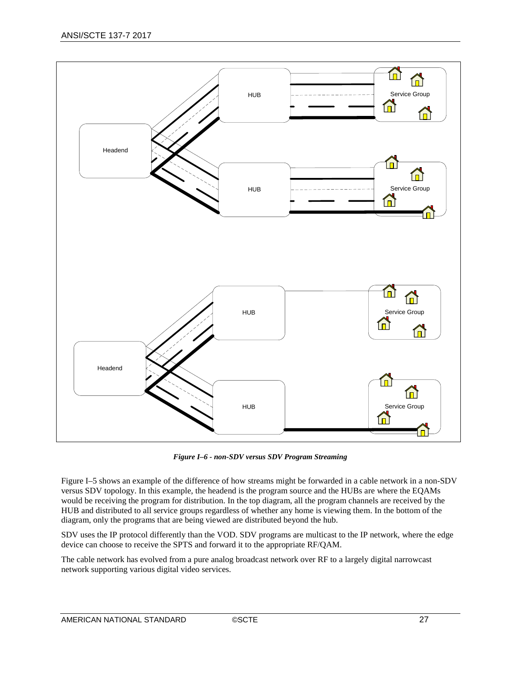

*Figure I–6 - non-SDV versus SDV Program Streaming*

<span id="page-30-0"></span>[Figure](#page-28-1) I–5 shows an example of the difference of how streams might be forwarded in a cable network in a non-SDV versus SDV topology. In this example, the headend is the program source and the HUBs are where the EQAMs would be receiving the program for distribution. In the top diagram, all the program channels are received by the HUB and distributed to all service groups regardless of whether any home is viewing them. In the bottom of the diagram, only the programs that are being viewed are distributed beyond the hub.

SDV uses the IP protocol differently than the VOD. SDV programs are multicast to the IP network, where the edge device can choose to receive the SPTS and forward it to the appropriate RF/QAM.

The cable network has evolved from a pure analog broadcast network over RF to a largely digital narrowcast network supporting various digital video services.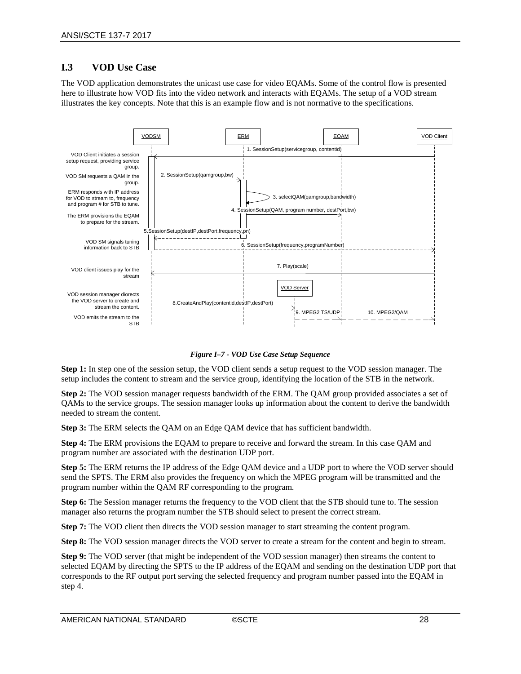## <span id="page-31-0"></span>**I.3 VOD Use Case**

The VOD application demonstrates the unicast use case for video EQAMs. Some of the control flow is presented here to illustrate how VOD fits into the video network and interacts with EQAMs. The setup of a VOD stream illustrates the key concepts. Note that this is an example flow and is not normative to the specifications.



*Figure I–7 - VOD Use Case Setup Sequence*

<span id="page-31-1"></span>**Step 1:** In step one of the session setup, the VOD client sends a setup request to the VOD session manager. The setup includes the content to stream and the service group, identifying the location of the STB in the network.

**Step 2:** The VOD session manager requests bandwidth of the ERM. The QAM group provided associates a set of QAMs to the service groups. The session manager looks up information about the content to derive the bandwidth needed to stream the content.

**Step 3:** The ERM selects the QAM on an Edge QAM device that has sufficient bandwidth.

**Step 4:** The ERM provisions the EQAM to prepare to receive and forward the stream. In this case QAM and program number are associated with the destination UDP port.

**Step 5:** The ERM returns the IP address of the Edge QAM device and a UDP port to where the VOD server should send the SPTS. The ERM also provides the frequency on which the MPEG program will be transmitted and the program number within the QAM RF corresponding to the program.

**Step 6:** The Session manager returns the frequency to the VOD client that the STB should tune to. The session manager also returns the program number the STB should select to present the correct stream.

**Step 7:** The VOD client then directs the VOD session manager to start streaming the content program.

**Step 8:** The VOD session manager directs the VOD server to create a stream for the content and begin to stream.

**Step 9:** The VOD server (that might be independent of the VOD session manager) then streams the content to selected EQAM by directing the SPTS to the IP address of the EQAM and sending on the destination UDP port that corresponds to the RF output port serving the selected frequency and program number passed into the EQAM in step 4.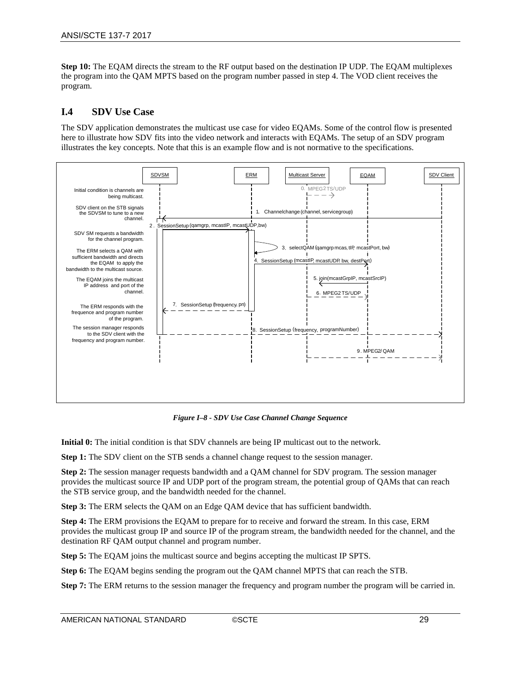**Step 10:** The EQAM directs the stream to the RF output based on the destination IP UDP. The EQAM multiplexes the program into the QAM MPTS based on the program number passed in step 4. The VOD client receives the program.

### <span id="page-32-0"></span>**I.4 SDV Use Case**

The SDV application demonstrates the multicast use case for video EQAMs. Some of the control flow is presented here to illustrate how SDV fits into the video network and interacts with EQAMs. The setup of an SDV program illustrates the key concepts. Note that this is an example flow and is not normative to the specifications.



*Figure I–8 - SDV Use Case Channel Change Sequence*

<span id="page-32-1"></span>**Initial 0:** The initial condition is that SDV channels are being IP multicast out to the network.

**Step 1:** The SDV client on the STB sends a channel change request to the session manager.

**Step 2:** The session manager requests bandwidth and a QAM channel for SDV program. The session manager provides the multicast source IP and UDP port of the program stream, the potential group of QAMs that can reach the STB service group, and the bandwidth needed for the channel.

**Step 3:** The ERM selects the QAM on an Edge QAM device that has sufficient bandwidth.

**Step 4:** The ERM provisions the EQAM to prepare for to receive and forward the stream. In this case, ERM provides the multicast group IP and source IP of the program stream, the bandwidth needed for the channel, and the destination RF QAM output channel and program number.

**Step 5:** The EQAM joins the multicast source and begins accepting the multicast IP SPTS.

**Step 6:** The EQAM begins sending the program out the QAM channel MPTS that can reach the STB.

**Step 7:** The ERM returns to the session manager the frequency and program number the program will be carried in.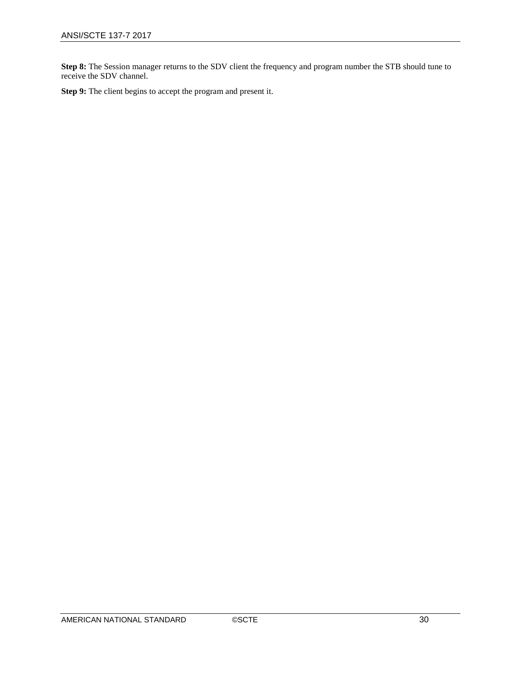**Step 8:** The Session manager returns to the SDV client the frequency and program number the STB should tune to receive the SDV channel.

**Step 9:** The client begins to accept the program and present it.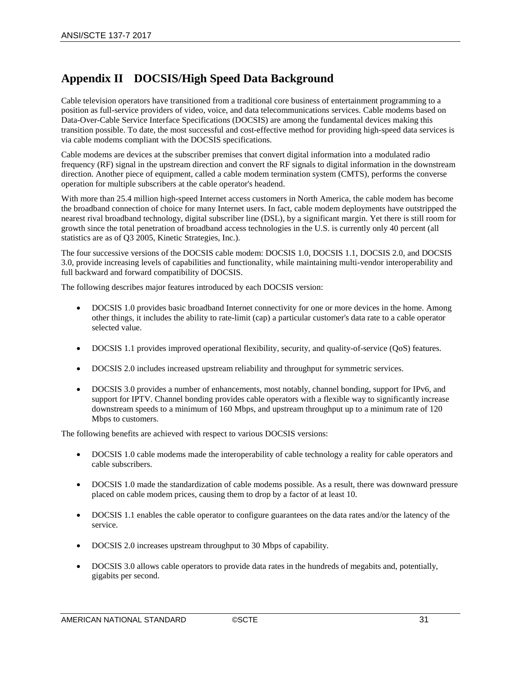## <span id="page-34-0"></span>**Appendix II DOCSIS/High Speed Data Background**

Cable television operators have transitioned from a traditional core business of entertainment programming to a position as full-service providers of video, voice, and data telecommunications services. Cable modems based on Data-Over-Cable Service Interface Specifications (DOCSIS) are among the fundamental devices making this transition possible. To date, the most successful and cost-effective method for providing high-speed data services is via cable modems compliant with the DOCSIS specifications.

Cable modems are devices at the subscriber premises that convert digital information into a modulated radio frequency (RF) signal in the upstream direction and convert the RF signals to digital information in the downstream direction. Another piece of equipment, called a cable modem termination system (CMTS), performs the converse operation for multiple subscribers at the cable operator's headend.

With more than 25.4 million high-speed Internet access customers in North America, the cable modem has become the broadband connection of choice for many Internet users. In fact, cable modem deployments have outstripped the nearest rival broadband technology, digital subscriber line (DSL), by a significant margin. Yet there is still room for growth since the total penetration of broadband access technologies in the U.S. is currently only 40 percent (all statistics are as of Q3 2005, Kinetic Strategies, Inc.).

The four successive versions of the DOCSIS cable modem: DOCSIS 1.0, DOCSIS 1.1, DOCSIS 2.0, and DOCSIS 3.0, provide increasing levels of capabilities and functionality, while maintaining multi-vendor interoperability and full backward and forward compatibility of DOCSIS.

The following describes major features introduced by each DOCSIS version:

- DOCSIS 1.0 provides basic broadband Internet connectivity for one or more devices in the home. Among other things, it includes the ability to rate-limit (cap) a particular customer's data rate to a cable operator selected value.
- DOCSIS 1.1 provides improved operational flexibility, security, and quality-of-service (QoS) features.
- DOCSIS 2.0 includes increased upstream reliability and throughput for symmetric services.
- DOCSIS 3.0 provides a number of enhancements, most notably, channel bonding, support for IPv6, and support for IPTV. Channel bonding provides cable operators with a flexible way to significantly increase downstream speeds to a minimum of 160 Mbps, and upstream throughput up to a minimum rate of 120 Mbps to customers.

The following benefits are achieved with respect to various DOCSIS versions:

- DOCSIS 1.0 cable modems made the interoperability of cable technology a reality for cable operators and cable subscribers.
- DOCSIS 1.0 made the standardization of cable modems possible. As a result, there was downward pressure placed on cable modem prices, causing them to drop by a factor of at least 10.
- DOCSIS 1.1 enables the cable operator to configure guarantees on the data rates and/or the latency of the service.
- DOCSIS 2.0 increases upstream throughput to 30 Mbps of capability.
- DOCSIS 3.0 allows cable operators to provide data rates in the hundreds of megabits and, potentially, gigabits per second.